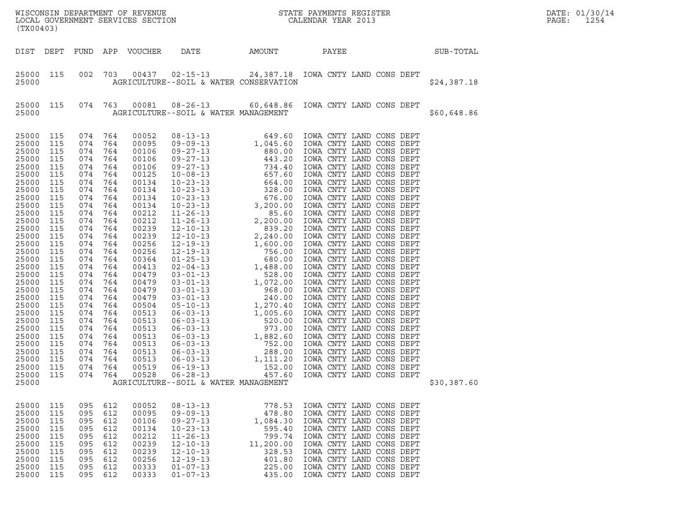| (TX00403)                                                                                                                                                                                                                                                                                             |                                                                                                                                                                                                                              |                                                                                                                                                                                                                              |                                                                                                                                                                                                                              |                                                                                                                                                                                                                                                                                              |                                                                                                                                                                                  |                                                                                             | WISCONSIN DEPARTMENT OF REVENUE<br>LOCAL GOVERNMENT SERVICES SECTION<br>(TYOO403)                                                                                                                                                                                                           |             | DATE: 01/30/14<br>PAGE:<br>1254 |
|-------------------------------------------------------------------------------------------------------------------------------------------------------------------------------------------------------------------------------------------------------------------------------------------------------|------------------------------------------------------------------------------------------------------------------------------------------------------------------------------------------------------------------------------|------------------------------------------------------------------------------------------------------------------------------------------------------------------------------------------------------------------------------|------------------------------------------------------------------------------------------------------------------------------------------------------------------------------------------------------------------------------|----------------------------------------------------------------------------------------------------------------------------------------------------------------------------------------------------------------------------------------------------------------------------------------------|----------------------------------------------------------------------------------------------------------------------------------------------------------------------------------|---------------------------------------------------------------------------------------------|---------------------------------------------------------------------------------------------------------------------------------------------------------------------------------------------------------------------------------------------------------------------------------------------|-------------|---------------------------------|
| DIST DEPT                                                                                                                                                                                                                                                                                             |                                                                                                                                                                                                                              |                                                                                                                                                                                                                              |                                                                                                                                                                                                                              | FUND APP VOUCHER                                                                                                                                                                                                                                                                             | DATE                                                                                                                                                                             | AMOUNT PAYEE                                                                                |                                                                                                                                                                                                                                                                                             | SUB-TOTAL   |                                 |
| 25000 115<br>25000                                                                                                                                                                                                                                                                                    |                                                                                                                                                                                                                              | 002                                                                                                                                                                                                                          | 703                                                                                                                                                                                                                          |                                                                                                                                                                                                                                                                                              | AGRICULTURE--SOIL & WATER CONSERVATION                                                                                                                                           |                                                                                             | 00437 02-15-13 24,387.18 IOWA CNTY LAND CONS DEPT                                                                                                                                                                                                                                           | \$24,387.18 |                                 |
| 25000<br>25000                                                                                                                                                                                                                                                                                        | 115                                                                                                                                                                                                                          |                                                                                                                                                                                                                              | 074 763                                                                                                                                                                                                                      |                                                                                                                                                                                                                                                                                              | AGRICULTURE--SOIL & WATER MANAGEMENT                                                                                                                                             |                                                                                             | 00081  08-26-13  60,648.86  IOWA CNTY LAND CONS DEPT                                                                                                                                                                                                                                        | \$60,648.86 |                                 |
| 25000<br>25000<br>25000<br>25000<br>25000<br>25000<br>25000<br>25000<br>25000<br>25000<br>25000<br>25000<br>25000<br>25000<br>25000<br>25000<br>25000<br>25000<br>25000<br>25000<br>25000<br>25000<br>25000<br>25000<br>25000<br>25000<br>25000<br>25000<br>25000<br>25000<br>25000<br>25000<br>25000 | 115<br>115<br>115<br>115<br>115<br>115<br>115<br>115<br>115<br>115<br>115<br>115<br>115<br>115<br>115<br>115<br>115<br>115<br>115<br>115<br>115<br>115<br>115<br>115<br>115<br>115<br>115<br>115<br>115<br>115<br>115<br>115 | 074<br>074<br>074<br>074<br>074<br>074<br>074<br>074<br>074<br>074<br>074<br>074<br>074<br>074<br>074<br>074<br>074<br>074<br>074<br>074<br>074<br>074<br>074<br>074<br>074<br>074<br>074<br>074<br>074<br>074<br>074<br>074 | 764<br>764<br>764<br>764<br>764<br>764<br>764<br>764<br>764<br>764<br>764<br>764<br>764<br>764<br>764<br>764<br>764<br>764<br>764<br>764<br>764<br>764<br>764<br>764<br>764<br>764<br>764<br>764<br>764<br>764<br>764<br>764 | 00052<br>00095<br>00106<br>00106<br>00106<br>00125<br>00134<br>00134<br>00134<br>00134<br>00212<br>00212<br>00239<br>00239<br>00256<br>00256<br>00364<br>00413<br>00479<br>00479<br>00479<br>00479<br>00504<br>00513<br>00513<br>00513<br>00513<br>00513<br>00513<br>00513<br>00519<br>00528 | $06 - 19 - 13$<br>$06 - 28 - 13$<br>AGRICULTURE--SOIL & WATER MANAGEMENT                                                                                                         | 152.00<br>457.60                                                                            | IOWA CNTY LAND CONS DEPT<br>IOWA CNTY LAND CONS DEPT                                                                                                                                                                                                                                        | \$30,387.60 |                                 |
| 25000<br>25000<br>25000<br>25000<br>25000<br>25000<br>25000<br>25000<br>25000<br>25000                                                                                                                                                                                                                | 115<br>115<br>115<br>115<br>115<br>115<br>115<br>115<br>115<br>115                                                                                                                                                           | 095<br>095<br>095<br>095<br>095<br>095<br>095<br>095<br>095<br>095                                                                                                                                                           | 612<br>612<br>612<br>612<br>612<br>612<br>612<br>612<br>612<br>612                                                                                                                                                           | 00052<br>00095<br>00106<br>00134<br>00212<br>00239<br>00239<br>00256<br>00333<br>00333                                                                                                                                                                                                       | $08 - 13 - 13$<br>$09 - 09 - 13$<br>$09 - 27 - 13$<br>$10 - 23 - 13$<br>$11 - 26 - 13$<br>$12 - 10 - 13$<br>$12 - 10 - 13$<br>$12 - 19 - 13$<br>$01 - 07 - 13$<br>$01 - 07 - 13$ | 778.53<br>478.80<br>1,084.30<br>595.40<br>799.74<br>11,200.00<br>328.53<br>401.80<br>225.00 | IOWA CNTY LAND CONS DEPT<br>IOWA CNTY LAND CONS DEPT<br>IOWA CNTY LAND CONS DEPT<br>IOWA CNTY LAND CONS DEPT<br>IOWA CNTY LAND CONS DEPT<br>IOWA CNTY LAND CONS DEPT<br>IOWA CNTY LAND CONS DEPT<br>IOWA CNTY LAND CONS DEPT<br>IOWA CNTY LAND CONS DEPT<br>435.00 IOWA CNTY LAND CONS DEPT |             |                                 |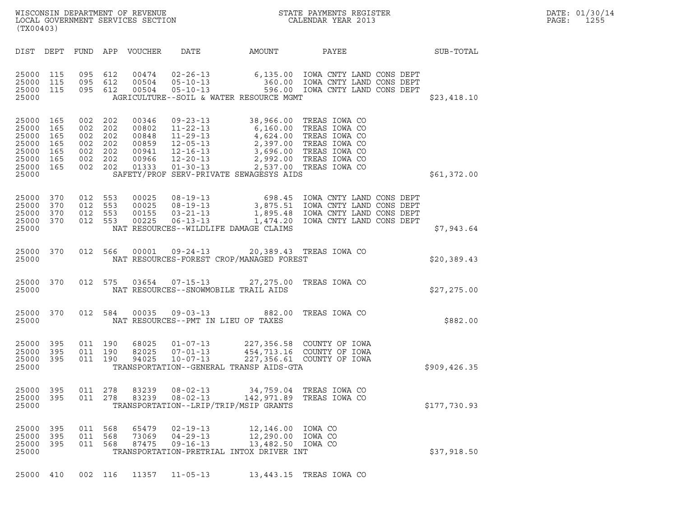| (TX00403)                        |                                                                                   |                               |                                                               | WISCONSIN DEPARTMENT OF REVENUE<br>LOCAL GOVERNMENT SERVICES SECTION |                                                    |                                                                                                                                                                                                                                                                                      | STATE PAYMENTS REGISTER<br>CALENDAR YEAR 2013                                                                                                                             |               | DATE: 01/30/14<br>PAGE:<br>1255 |
|----------------------------------|-----------------------------------------------------------------------------------|-------------------------------|---------------------------------------------------------------|----------------------------------------------------------------------|----------------------------------------------------|--------------------------------------------------------------------------------------------------------------------------------------------------------------------------------------------------------------------------------------------------------------------------------------|---------------------------------------------------------------------------------------------------------------------------------------------------------------------------|---------------|---------------------------------|
|                                  | DIST DEPT                                                                         |                               |                                                               | FUND APP VOUCHER                                                     | DATE                                               | AMOUNT                                                                                                                                                                                                                                                                               | PAYEE                                                                                                                                                                     | SUB-TOTAL     |                                 |
| 25000                            | 25000 115<br>25000 115<br>25000 115                                               | 095<br>095 612                | 095 612<br>612                                                | 00474<br>00504<br>00504                                              |                                                    | AGRICULTURE--SOIL & WATER RESOURCE MGMT                                                                                                                                                                                                                                              | 02-26-13 6,135.00 IOWA CNTY LAND CONS DEPT<br>05-10-13 360.00 IOWA CNTY LAND CONS DEPT<br>05-10-13 596.00 IOWA CNTY LAND CONS DEPT                                        | \$23,418.10   |                                 |
| 25000<br>25000                   | 25000 165<br>165<br>25000 165<br>25000 165<br>25000 165<br>25000 165<br>25000 165 | 002<br>002<br>002             | 002 202<br>202<br>002 202<br>202<br>002 202<br>202<br>002 202 | 00346<br>00802<br>00848<br>00859<br>00941<br>00966<br>01333          | $09 - 23 - 13$<br>$01 - 30 - 13$                   | 38,966.00 TREAS IOWA CO<br>11-22-13 6,160.00 TREAS IOWA CO<br>11-29-13 4,624.00 TREAS IOWA CO<br>12-05-13 2,397.00 TREAS IOWA CO<br>12-16-13 3,696.00 TREAS IOWA CO<br>12-20-13 2,992.00 TREAS IOWA CO<br>01-30-13 2,537.00 TREAS IOWA CO<br>SAFETY/PROF SERV-PRIVATE SEWAGESYS AIDS |                                                                                                                                                                           | \$61,372.00   |                                 |
| 25000<br>25000                   | 25000 370<br>370<br>25000 370<br>25000 370                                        | 012 553<br>012 553<br>012 553 | 012 553                                                       | 00025<br>00025<br>00155<br>00225                                     | $06 - 13 - 13$                                     | NAT RESOURCES--WILDLIFE DAMAGE CLAIMS                                                                                                                                                                                                                                                | 08-19-13 698.45 IOWA CNTY LAND CONS DEPT<br>08-19-13 3,875.51 IOWA CNTY LAND CONS DEPT<br>03-21-13 1,895.48 IOWA CNTY LAND CONS DEPT<br>1,474.20 IOWA CNTY LAND CONS DEPT | \$7,943.64    |                                 |
| 25000                            | 25000 370                                                                         |                               | 012 566                                                       | 00001                                                                | $09 - 24 - 13$                                     | NAT RESOURCES-FOREST CROP/MANAGED FOREST                                                                                                                                                                                                                                             | 20,389.43 TREAS IOWA CO                                                                                                                                                   | \$20,389.43   |                                 |
| 25000                            | 25000 370                                                                         |                               | 012 575                                                       | 03654                                                                | $07 - 15 - 13$                                     | 27,275.00 TREAS IOWA CO<br>NAT RESOURCES--SNOWMOBILE TRAIL AIDS                                                                                                                                                                                                                      |                                                                                                                                                                           | \$27,275.00   |                                 |
| 25000                            | 25000 370                                                                         |                               | 012 584                                                       | 00035                                                                | $09 - 03 - 13$                                     | 882.00<br>NAT RESOURCES--PMT IN LIEU OF TAXES                                                                                                                                                                                                                                        | TREAS IOWA CO                                                                                                                                                             | \$882.00      |                                 |
| 25000                            | 25000 395<br>25000 395<br>25000 395                                               |                               | 011 190<br>011 190<br>011 190                                 | 68025<br>82025<br>94025                                              | $01 - 07 - 13$<br>$07 - 01 - 13$<br>$10 - 07 - 13$ | TRANSPORTATION--GENERAL TRANSP AIDS-GTA                                                                                                                                                                                                                                              | 227,356.58 COUNTY OF IOWA<br>454,713.16 COUNTY OF IOWA<br>227,356.61 COUNTY OF IOWA                                                                                       | \$909, 426.35 |                                 |
| 25000                            | 25000 395<br>25000 395                                                            | 011                           | 278<br>011 278                                                | 83239<br>83239                                                       | $08 - 02 - 13$<br>$08 - 02 - 13$                   | 34,759.04<br>142,971.89<br>TRANSPORTATION--LRIP/TRIP/MSIP GRANTS                                                                                                                                                                                                                     | TREAS IOWA CO<br>TREAS IOWA CO                                                                                                                                            | \$177,730.93  |                                 |
| 25000<br>25000<br>25000<br>25000 | 395<br>395<br>- 395                                                               | 011<br>011                    | 568<br>568<br>011 568                                         | 65479<br>73069<br>87475                                              | $02 - 19 - 13$<br>$04 - 29 - 13$<br>$09 - 16 - 13$ | 12,146.00<br>12,290.00<br>13,482.50<br>TRANSPORTATION-PRETRIAL INTOX DRIVER INT                                                                                                                                                                                                      | IOWA CO<br>IOWA CO<br>IOWA CO                                                                                                                                             | \$37,918.50   |                                 |
|                                  | 25000 410                                                                         |                               | 002 116                                                       | 11357                                                                | $11 - 05 - 13$                                     |                                                                                                                                                                                                                                                                                      | 13,443.15 TREAS IOWA CO                                                                                                                                                   |               |                                 |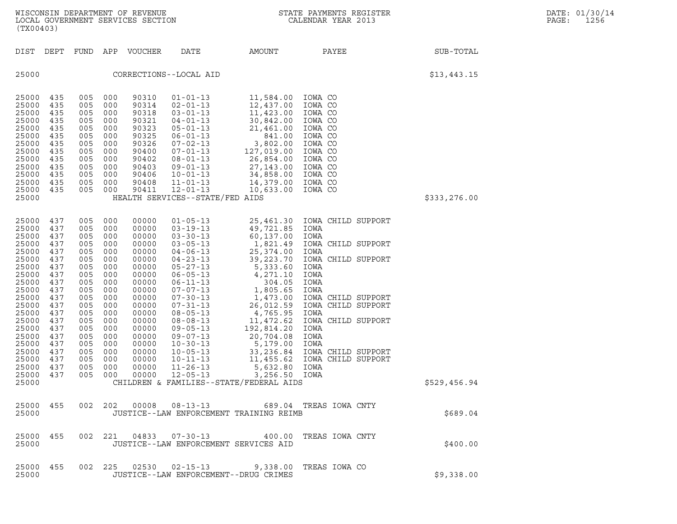| (TX00403)                                                                                                                                                                                              |                                                                                                                                          |                                                                                                                                          |                                                                                                                                          | WISCONSIN DEPARTMENT OF REVENUE<br>LOCAL GOVERNMENT SERVICES SECTION                                                                                                             | $\sqrt{1}$                                                                                                                                                                                                                                                                                                                                                           |                                                                                                                                                                                                                                                                                                                                           | STATE PAYMENTS REGISTER<br>CALENDAR YEAR 2013                                                                                                                                                                                                                                |              | DATE: 01/30/14<br>PAGE:<br>1256 |
|--------------------------------------------------------------------------------------------------------------------------------------------------------------------------------------------------------|------------------------------------------------------------------------------------------------------------------------------------------|------------------------------------------------------------------------------------------------------------------------------------------|------------------------------------------------------------------------------------------------------------------------------------------|----------------------------------------------------------------------------------------------------------------------------------------------------------------------------------|----------------------------------------------------------------------------------------------------------------------------------------------------------------------------------------------------------------------------------------------------------------------------------------------------------------------------------------------------------------------|-------------------------------------------------------------------------------------------------------------------------------------------------------------------------------------------------------------------------------------------------------------------------------------------------------------------------------------------|------------------------------------------------------------------------------------------------------------------------------------------------------------------------------------------------------------------------------------------------------------------------------|--------------|---------------------------------|
| DIST                                                                                                                                                                                                   | DEPT                                                                                                                                     | FUND                                                                                                                                     | APP                                                                                                                                      | VOUCHER                                                                                                                                                                          | DATE                                                                                                                                                                                                                                                                                                                                                                 | AMOUNT                                                                                                                                                                                                                                                                                                                                    | PAYEE                                                                                                                                                                                                                                                                        | SUB-TOTAL    |                                 |
| 25000                                                                                                                                                                                                  |                                                                                                                                          |                                                                                                                                          |                                                                                                                                          |                                                                                                                                                                                  | CORRECTIONS--LOCAL AID                                                                                                                                                                                                                                                                                                                                               |                                                                                                                                                                                                                                                                                                                                           |                                                                                                                                                                                                                                                                              | \$13,443.15  |                                 |
| 25000<br>25000<br>25000<br>25000<br>25000<br>25000<br>25000<br>25000<br>25000<br>25000<br>25000<br>25000<br>25000<br>25000                                                                             | 435<br>435<br>435<br>435<br>435<br>435<br>435<br>435<br>435<br>435<br>435<br>435<br>435                                                  | 005<br>005<br>005<br>005<br>005<br>005<br>005<br>005<br>005<br>005<br>005<br>005<br>005                                                  | 000<br>000<br>000<br>000<br>000<br>000<br>000<br>000<br>000<br>000<br>000<br>000<br>000                                                  | 90310<br>90314<br>90318<br>90321<br>90323<br>90325<br>90326<br>90400<br>90402<br>90403<br>90406<br>90408<br>90411                                                                | $01 - 01 - 13$<br>$02 - 01 - 13$<br>$03 - 01 - 13$<br>$04 - 01 - 13$<br>$05 - 01 - 13$<br>$06 - 01 - 13$<br>$07 - 02 - 13$<br>07-01-13<br>$08 - 01 - 13$<br>$09 - 01 - 13$<br>$10 - 01 - 13$<br>$11 - 01 - 13$<br>$12 - 01 - 13$<br>HEALTH SERVICES--STATE/FED AIDS                                                                                                  | 11,584.00<br>12,437.00<br>11,423.00<br>30,842.00<br>21,461.00<br>841.00<br>3,802.00<br>127,019.00<br>26,854.00<br>27,143.00<br>34,858.00<br>14,379.00<br>10,633.00                                                                                                                                                                        | IOWA CO<br>IOWA CO<br>IOWA CO<br>IOWA CO<br>IOWA CO<br>IOWA CO<br>IOWA CO<br>IOWA CO<br>IOWA CO<br>IOWA CO<br>IOWA CO<br>IOWA CO<br>IOWA CO                                                                                                                                  | \$333,276.00 |                                 |
| 25000<br>25000<br>25000<br>25000<br>25000<br>25000<br>25000<br>25000<br>25000<br>25000<br>25000<br>25000<br>25000<br>25000<br>25000<br>25000<br>25000<br>25000<br>25000<br>25000<br>25000 437<br>25000 | 437<br>437<br>437<br>437<br>437<br>437<br>437<br>437<br>437<br>437<br>437<br>437<br>437<br>437<br>437<br>437<br>437<br>437<br>437<br>437 | 005<br>005<br>005<br>005<br>005<br>005<br>005<br>005<br>005<br>005<br>005<br>005<br>005<br>005<br>005<br>005<br>005<br>005<br>005<br>005 | 000<br>000<br>000<br>000<br>000<br>000<br>000<br>000<br>000<br>000<br>000<br>000<br>000<br>000<br>000<br>000<br>000<br>000<br>000<br>000 | 00000<br>00000<br>00000<br>00000<br>00000<br>00000<br>00000<br>00000<br>00000<br>00000<br>00000<br>00000<br>00000<br>00000<br>00000<br>00000<br>00000<br>00000<br>00000<br>00000 | $01 - 05 - 13$<br>$03 - 19 - 13$<br>$03 - 30 - 13$<br>$03 - 05 - 13$<br>$04 - 06 - 13$<br>$04 - 23 - 13$<br>$05 - 27 - 13$<br>$06 - 05 - 13$<br>$06 - 11 - 13$<br>$07 - 07 - 13$<br>$07 - 30 - 13$<br>$07 - 31 - 13$<br>$08 - 05 - 13$<br>$08 - 08 - 13$<br>$09 - 05 - 13$<br>$09 - 07 - 13$<br>$10 - 30 - 13$<br>$10 - 05 - 13$<br>$10 - 11 - 13$<br>$11 - 26 - 13$ | 25,461.30<br>49,721.85<br>60,137.00<br>1,821.49<br>25,374.00<br>39,223.70<br>5,333.60<br>4,271.10<br>304.05<br>1,805.65<br>1,473.00<br>26,012.59<br>4,765.95<br>11,472.62<br>192,814.20<br>20,704.08<br>5,179.00<br>33,236.84<br>11,455.62<br>5,632.80<br>005 000 00000 12-05-13 3,256.50 IOWA<br>CHILDREN & FAMILIES--STATE/FEDERAL AIDS | IOWA CHILD SUPPORT<br>IOWA<br>IOWA<br>IOWA CHILD SUPPORT<br>IOWA<br>IOWA CHILD SUPPORT<br>IOWA<br>IOWA<br>IOWA<br>IOWA<br>IOWA CHILD SUPPORT<br>IOWA CHILD SUPPORT<br>IOWA<br>IOWA CHILD SUPPORT<br>IOWA<br>IOWA<br>IOWA<br>IOWA CHILD SUPPORT<br>IOWA CHILD SUPPORT<br>IOWA | \$529,456.94 |                                 |
| 25000 455<br>25000                                                                                                                                                                                     |                                                                                                                                          |                                                                                                                                          |                                                                                                                                          |                                                                                                                                                                                  |                                                                                                                                                                                                                                                                                                                                                                      | JUSTICE--LAW ENFORCEMENT TRAINING REIMB                                                                                                                                                                                                                                                                                                   | 002  202  00008  08-13-13  689.04  TREAS  IOWA  CNTY                                                                                                                                                                                                                         | \$689.04     |                                 |
| 25000 455<br>25000                                                                                                                                                                                     |                                                                                                                                          |                                                                                                                                          |                                                                                                                                          |                                                                                                                                                                                  | JUSTICE--LAW ENFORCEMENT SERVICES AID                                                                                                                                                                                                                                                                                                                                |                                                                                                                                                                                                                                                                                                                                           | 002 221 04833 07-30-13 400.00 TREAS IOWA CNTY                                                                                                                                                                                                                                | \$400.00     |                                 |
| 25000 455<br>25000                                                                                                                                                                                     |                                                                                                                                          |                                                                                                                                          |                                                                                                                                          |                                                                                                                                                                                  | JUSTICE--LAW ENFORCEMENT--DRUG CRIMES                                                                                                                                                                                                                                                                                                                                |                                                                                                                                                                                                                                                                                                                                           | 002  225  02530  02-15-13  9,338.00 TREAS  IOWA  CO                                                                                                                                                                                                                          | \$9,338.00   |                                 |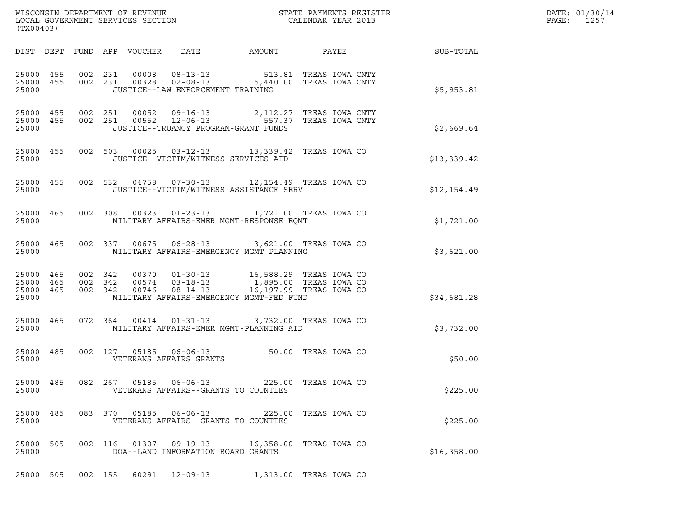| DATE: | 01/30/14 |
|-------|----------|
| PAGE: | 1257     |

| (TX00403)                                    |     |                               |                                 |                                                |                                                                                                                                                                       |               |  |                        |
|----------------------------------------------|-----|-------------------------------|---------------------------------|------------------------------------------------|-----------------------------------------------------------------------------------------------------------------------------------------------------------------------|---------------|--|------------------------|
|                                              |     |                               | DIST DEPT FUND APP VOUCHER DATE |                                                |                                                                                                                                                                       |               |  | AMOUNT PAYEE SUB-TOTAL |
| 25000 455<br>25000 455<br>25000              |     |                               |                                 | JUSTICE--LAW ENFORCEMENT TRAINING              | 002 231 00008 08-13-13 513.81 TREAS IOWA CNTY<br>002 231 00328 02-08-13 5,440.00 TREAS IOWA CNTY                                                                      |               |  | \$5,953.81             |
| 25000 455<br>25000 455<br>25000              |     |                               |                                 |                                                | 002  251  00052  09-16-13  2,112.27  TREAS  IOWA  CNTY<br>002  251  00552  12-06-13   557.37  TREAS  IOWA  CNTY<br>JUSTICE--TRUANCY PROGRAM-GRANT FUNDS               |               |  | \$2,669.64             |
| 25000 455<br>25000                           |     |                               |                                 |                                                | 002 503 00025 03-12-13 13,339.42 TREAS IOWA CO<br>JUSTICE--VICTIM/WITNESS SERVICES AID                                                                                |               |  | \$13,339.42            |
| 25000 455<br>25000                           |     |                               |                                 |                                                | 002 532 04758 07-30-13 12,154.49 TREAS IOWA CO<br>JUSTICE--VICTIM/WITNESS ASSISTANCE SERV                                                                             |               |  | \$12,154.49            |
| 25000 465<br>25000                           |     |                               |                                 |                                                | 002 308 00323 01-23-13 1,721.00 TREAS IOWA CO<br>MILITARY AFFAIRS-EMER MGMT-RESPONSE EQMT                                                                             |               |  | \$1,721.00             |
| 25000 465<br>25000                           |     |                               |                                 |                                                | 002 337 00675 06-28-13 3,621.00 TREAS IOWA CO<br>MILITARY AFFAIRS-EMERGENCY MGMT PLANNING                                                                             |               |  | \$3,621.00             |
| 25000 465<br>25000 465<br>25000 465<br>25000 |     | 002 342<br>002 342<br>002 342 |                                 |                                                | 00574     03-18-13                1,895.00   TREAS  IOWA CO<br>00746    08-14-13               16,197.99   TREAS  IOWA CO<br>MILITARY AFFAIRS-EMERGENCY MGMT-FED FUND |               |  | \$34,681.28            |
| 25000 465<br>25000                           |     |                               |                                 |                                                | 072 364 00414 01-31-13 3,732.00 TREAS IOWA CO<br>MILITARY AFFAIRS-EMER MGMT-PLANNING AID                                                                              |               |  | \$3,732.00             |
| 25000 485<br>25000                           |     |                               |                                 | VETERANS AFFAIRS GRANTS                        | 002 127 05185 06-06-13 50.00 TREAS IOWA CO                                                                                                                            |               |  | \$50.00                |
| 25000<br>25000                               | 485 | 082 267                       | 05185                           | $06 - 06 - 13$                                 | 225.00<br>VETERANS AFFAIRS--GRANTS TO COUNTIES                                                                                                                        | TREAS IOWA CO |  | \$225.00               |
| 25000<br>25000                               | 485 | 083 370                       | 05185                           | $06 - 06 - 13$                                 | 225.00<br>VETERANS AFFAIRS--GRANTS TO COUNTIES                                                                                                                        | TREAS IOWA CO |  | \$225.00               |
| 25000<br>25000                               | 505 | 002 116                       | 01307                           | 09-19-13<br>DOA--LAND INFORMATION BOARD GRANTS | 16,358.00 TREAS IOWA CO                                                                                                                                               |               |  | \$16,358.00            |
| 25000 505                                    |     | 002 155                       |                                 |                                                | 60291 12-09-13 1,313.00 TREAS IOWA CO                                                                                                                                 |               |  |                        |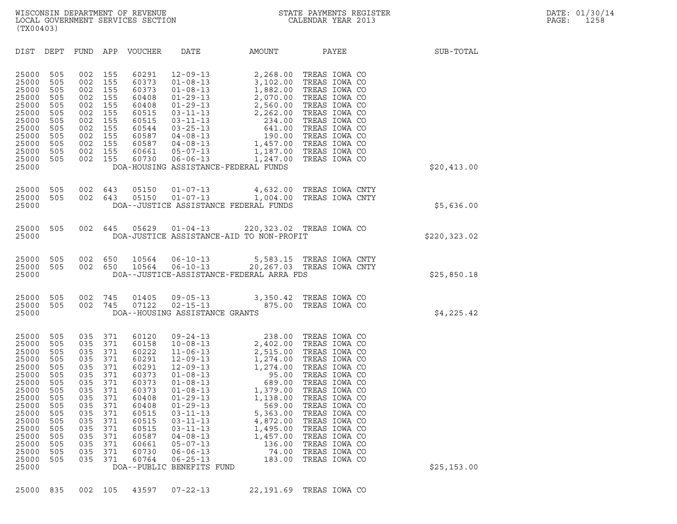| (TX00403)                                                                                                                                                                                                                                                                             |                                                                                                                                                                                                                                                                                                                                                                                                     |                                                                                                                                                                                                                                                                                                                                                                                                                                                     |                                                   |                                                                                                                                                                                                                                                                                               |              |
|---------------------------------------------------------------------------------------------------------------------------------------------------------------------------------------------------------------------------------------------------------------------------------------|-----------------------------------------------------------------------------------------------------------------------------------------------------------------------------------------------------------------------------------------------------------------------------------------------------------------------------------------------------------------------------------------------------|-----------------------------------------------------------------------------------------------------------------------------------------------------------------------------------------------------------------------------------------------------------------------------------------------------------------------------------------------------------------------------------------------------------------------------------------------------|---------------------------------------------------|-----------------------------------------------------------------------------------------------------------------------------------------------------------------------------------------------------------------------------------------------------------------------------------------------|--------------|
| DIST DEPT                                                                                                                                                                                                                                                                             | FUND<br>APP<br>VOUCHER                                                                                                                                                                                                                                                                                                                                                                              | DATE                                                                                                                                                                                                                                                                                                                                                                                                                                                | <b>AMOUNT</b>                                     | PAYEE                                                                                                                                                                                                                                                                                         | SUB-TOTAL    |
| 25000<br>505<br>25000<br>505<br>25000<br>505<br>25000<br>505<br>25000<br>505<br>25000<br>505<br>25000<br>505<br>25000<br>505<br>25000<br>505<br>25000<br>505<br>25000<br>505<br>25000<br>505<br>25000                                                                                 | 002<br>155<br>60291<br>60373<br>002<br>155<br>60373<br>002<br>155<br>002<br>155<br>60408<br>002<br>155<br>60408<br>002<br>155<br>60515<br>002<br>155<br>60515<br>002<br>155<br>60544<br>002<br>155<br>60587<br>002<br>155<br>60587<br>002<br>155<br>60661<br>002<br>155<br>60730                                                                                                                    | DOA-HOUSING ASSISTANCE-FEDERAL FUNDS                                                                                                                                                                                                                                                                                                                                                                                                                |                                                   | TREAS IOWA CO<br>TREAS IOWA CO<br>TREAS IOWA CO<br>TREAS IOWA CO<br>TREAS IOWA CO<br>TREAS IOWA CO<br>TREAS IOWA CO<br>TREAS IOWA CO<br>TREAS IOWA CO<br>TREAS IOWA CO<br>1,187.00 TREAS IOWA CO<br>TREAS IOWA CO                                                                             | \$20,413.00  |
| 25000<br>505<br>505<br>25000<br>25000                                                                                                                                                                                                                                                 | 002 643<br>05150<br>002<br>05150<br>643                                                                                                                                                                                                                                                                                                                                                             | $01 - 07 - 13$<br>$01 - 07 - 13$<br>DOA--JUSTICE ASSISTANCE FEDERAL FUNDS                                                                                                                                                                                                                                                                                                                                                                           |                                                   | 4,632.00 TREAS IOWA CNTY<br>1,004.00 TREAS IOWA CNTY                                                                                                                                                                                                                                          | \$5,636.00   |
| 25000<br>505<br>25000                                                                                                                                                                                                                                                                 | 002<br>645<br>05629                                                                                                                                                                                                                                                                                                                                                                                 | $01 - 04 - 13$<br>DOA-JUSTICE ASSISTANCE-AID TO NON-PROFIT                                                                                                                                                                                                                                                                                                                                                                                          |                                                   | 220,323.02 TREAS IOWA CO                                                                                                                                                                                                                                                                      | \$220,323.02 |
| 25000<br>505<br>505<br>25000<br>25000                                                                                                                                                                                                                                                 | 002<br>650<br>10564<br>002<br>10564<br>650                                                                                                                                                                                                                                                                                                                                                          | DOA--JUSTICE-ASSISTANCE-FEDERAL ARRA FDS                                                                                                                                                                                                                                                                                                                                                                                                            |                                                   | 06-10-13 5,583.15 TREAS IOWA CNTY<br>06-10-13 20,267.03 TREAS IOWA CNTY                                                                                                                                                                                                                       | \$25,850.18  |
| 25000<br>505<br>505<br>25000<br>25000                                                                                                                                                                                                                                                 | 002<br>745<br>01405<br>002<br>745<br>07122                                                                                                                                                                                                                                                                                                                                                          | DOA--HOUSING ASSISTANCE GRANTS                                                                                                                                                                                                                                                                                                                                                                                                                      |                                                   | 09-05-13 3,350.42 TREAS IOWA CO<br>02-15-13 875.00 TREAS IOWA CO                                                                                                                                                                                                                              | \$4,225.42   |
| 25000<br>505<br>25000<br>505<br>25000<br>505<br>25000<br>505<br>25000<br>505<br>25000<br>505<br>25000<br>505<br>25000<br>505<br>25000<br>505<br>25000<br>505<br>25000<br>505<br>25000<br>505<br>25000<br>505<br>25000<br>505<br>25000<br>505<br>25000<br>505<br>25000<br>505<br>25000 | 035<br>371<br>60120<br>371<br>035<br>60158<br>371<br>035<br>60222<br>371<br>035<br>60291<br>035<br>371<br>60291<br>371<br>035<br>60373<br>035<br>371<br>60373<br>371<br>035<br>60373<br>371<br>035<br>60408<br>035<br>371<br>60408<br>035<br>371<br>60515<br>035<br>371<br>60515<br>035<br>371<br>60515<br>035<br>371<br>60587<br>035<br>371<br>60661<br>035<br>371<br>60730<br>035<br>371<br>60764 | $\begin{array}{cccc} -13 & 2, & 5 \\ 06-13 & 2, & 5 \\ -09-13 & 1, & 274 \ldots \\ 12-09-13 & 1, & 274 \ldots \\ 01-08-13 & 5, & 00 \end{array}$ , $\begin{array}{cccc} 0.9 & 0.9 & 0.9 & 0 \\ -08-13 & 1, & 379 \ldots \\ -13 & 1, & 379 \ldots \\ -13 & 1, & 38 \ldots \\ 569 & 5, & 363 \\ 4, & 87 \\ 1, & 4 \end{array}$<br>$03 - 11 - 13$<br>$04 - 08 - 13$<br>$05 - 07 - 13$<br>$06 - 06 - 13$<br>$06 - 25 - 13$<br>DOA--PUBLIC BENEFITS FUND | 1,495.00<br>1,457.00<br>136.00<br>74.00<br>183.00 | TREAS IOWA CO<br>TREAS IOWA CO<br>TREAS IOWA CO<br>TREAS IOWA CO<br>TREAS IOWA CO<br>TREAS IOWA CO<br>TREAS IOWA CO<br>TREAS IOWA CO<br>TREAS IOWA CO<br>TREAS IOWA CO<br>TREAS IOWA CO<br>TREAS IOWA CO<br>TREAS IOWA CO<br>TREAS IOWA CO<br>TREAS IOWA CO<br>TREAS IOWA CO<br>TREAS IOWA CO | \$25, 153.00 |

25000 835 002 105 43597 07-22-13 22,191.69 TREAS IOWA CO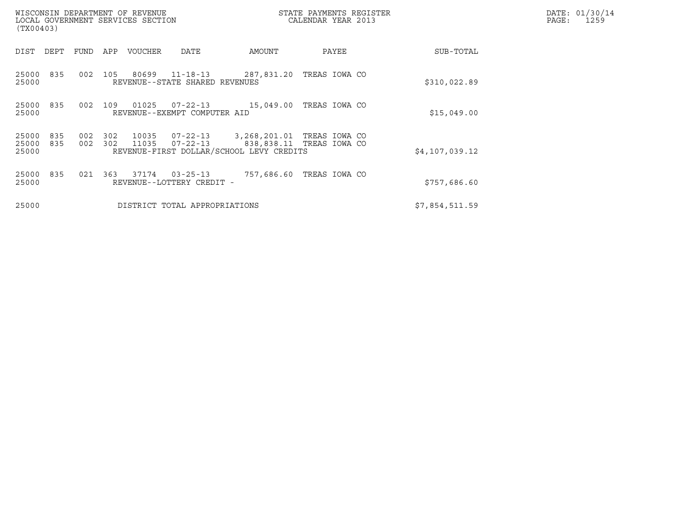| (TX00403)               |            |            |            | WISCONSIN DEPARTMENT OF REVENUE<br>LOCAL GOVERNMENT SERVICES SECTION |                                                  |                                          | STATE PAYMENTS REGISTER<br>CALENDAR YEAR 2013          | DATE: 01/30/14<br>PAGE:<br>1259 |  |
|-------------------------|------------|------------|------------|----------------------------------------------------------------------|--------------------------------------------------|------------------------------------------|--------------------------------------------------------|---------------------------------|--|
| DIST                    | DEPT       | FUND       | APP        | VOUCHER                                                              | DATE                                             | AMOUNT                                   | PAYEE                                                  | SUB-TOTAL                       |  |
| 25000<br>25000          | 835        | 002        | 105        | 80699                                                                | $11 - 18 - 13$<br>REVENUE--STATE SHARED REVENUES | 287,831.20                               | TREAS IOWA CO                                          | \$310,022.89                    |  |
| 25000<br>25000          | 835        | 002        | 109        | 01025                                                                | REVENUE--EXEMPT COMPUTER AID                     | $07 - 22 - 13$ 15,049.00                 | TREAS IOWA CO                                          | \$15,049.00                     |  |
| 25000<br>25000<br>25000 | 835<br>835 | 002<br>002 | 302<br>302 | 10035<br>11035                                                       | 07-22-13<br>$07 - 22 - 13$                       | REVENUE-FIRST DOLLAR/SCHOOL LEVY CREDITS | 3,268,201.01 TREAS IOWA CO<br>838,838.11 TREAS IOWA CO | \$4,107,039.12                  |  |
| 25000<br>25000          | 835        | 021        | 363        | 37174                                                                | $03 - 25 - 13$<br>REVENUE--LOTTERY CREDIT -      | 757,686.60                               | TREAS IOWA CO                                          | \$757,686.60                    |  |
| 25000                   |            |            |            |                                                                      | DISTRICT TOTAL APPROPRIATIONS                    |                                          |                                                        | \$7,854,511.59                  |  |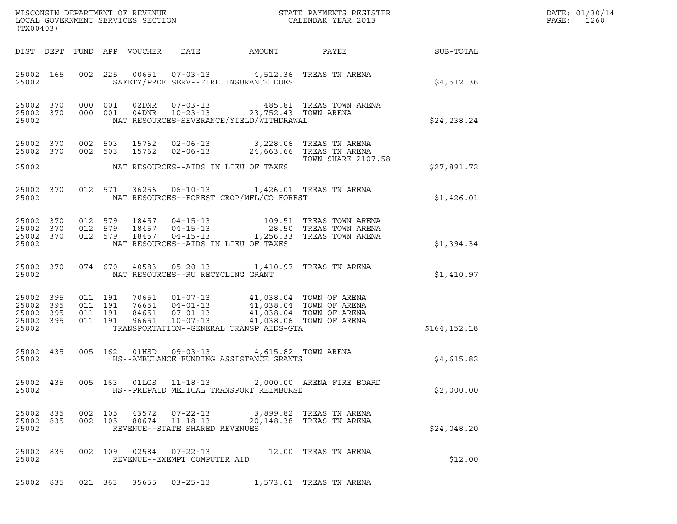| (TX00403)                                                 |                              |         |                        |                                                                    |                                                                                                                                                                                                                                                                                                                                                                                         | ${\tt WISCONSIM} \begin{tabular}{l} DEPARTMENT OF REVIEW \\ LOCAL BONERNMENT SERVICES SECTION \\ \end{tabular} \begin{tabular}{l} \multicolumn{2}{c}{\textbf{A}YMENTS} \begin{tabular}{l} \multicolumn{2}{c}{\textbf{B}YMENTS} \end{tabular} \end{tabular} \begin{tabular}{l} \multicolumn{2}{c}{\textbf{A}YMENTS} \begin{tabular}{l} \multicolumn{2}{c}{\textbf{B}YMENTS} \end{tabular} \end{tabular} \end{tabular}$ |               | DATE: 01/30/14<br>$\mathtt{PAGE:}$<br>1260 |
|-----------------------------------------------------------|------------------------------|---------|------------------------|--------------------------------------------------------------------|-----------------------------------------------------------------------------------------------------------------------------------------------------------------------------------------------------------------------------------------------------------------------------------------------------------------------------------------------------------------------------------------|-----------------------------------------------------------------------------------------------------------------------------------------------------------------------------------------------------------------------------------------------------------------------------------------------------------------------------------------------------------------------------------------------------------------------|---------------|--------------------------------------------|
|                                                           |                              |         |                        |                                                                    | DIST DEPT FUND APP VOUCHER DATE AMOUNT                                                                                                                                                                                                                                                                                                                                                  | PAYEE SUB-TOTAL                                                                                                                                                                                                                                                                                                                                                                                                       |               |                                            |
| 25002                                                     | 25002 165                    |         |                        |                                                                    | 002 225 00651 07-03-13 4,512.36 TREAS TN ARENA<br>SAFETY/PROF SERV--FIRE INSURANCE DUES                                                                                                                                                                                                                                                                                                 |                                                                                                                                                                                                                                                                                                                                                                                                                       | \$4,512.36    |                                            |
| 25002                                                     |                              |         |                        |                                                                    | NAT RESOURCES-SEVERANCE/YIELD/WITHDRAWAL                                                                                                                                                                                                                                                                                                                                                | $\begin{array}{cccccccc} 25002 & 370 & 000 & 001 & 02DNR & 07-03-13 & & 485.81 & \text{TREAS TOWN AREA} \\ 25002 & 370 & 000 & 001 & 04DNR & 10-23-13 & & 23,752.43 & \text{TOWN AREA} \end{array}$                                                                                                                                                                                                                   | \$24,238.24   |                                            |
|                                                           |                              |         |                        |                                                                    | 25002 370 002 503 15762 02-06-13 3,228.06 TREAS TN ARENA<br>25002 370 002 503 15762 02-06-13 24,663.66 TREAS TN ARENA                                                                                                                                                                                                                                                                   | TOWN SHARE 2107.58                                                                                                                                                                                                                                                                                                                                                                                                    |               |                                            |
|                                                           |                              |         |                        |                                                                    | 25002 NAT RESOURCES--AIDS IN LIEU OF TAXES                                                                                                                                                                                                                                                                                                                                              |                                                                                                                                                                                                                                                                                                                                                                                                                       | \$27,891.72   |                                            |
|                                                           | 25002 370<br>25002 and 25002 |         |                        |                                                                    | 012 571 36256 06-10-13 1,426.01 TREAS TN ARENA<br>NAT RESOURCES--FOREST CROP/MFL/CO FOREST                                                                                                                                                                                                                                                                                              |                                                                                                                                                                                                                                                                                                                                                                                                                       | \$1,426.01    |                                            |
|                                                           |                              |         |                        |                                                                    | 25002 NAT RESOURCES--AIDS IN LIEU OF TAXES                                                                                                                                                                                                                                                                                                                                              | $\begin{array}{cccccccc} 25002 & 370 & 012 & 579 & 18457 & 04-15-13 & & 109.51 & \text{TREAS TOWN AREA} \\ 25002 & 370 & 012 & 579 & 18457 & 04-15-13 & & 28.50 & \text{TREAS TOWN AREA} \\ 25002 & 370 & 012 & 579 & 18457 & 04-15-13 & & 1,256.33 & \text{TREAS TOWN AREA} \end{array}$                                                                                                                             | \$1,394.34    |                                            |
|                                                           | 25002 370                    |         |                        |                                                                    | 074 670 40583 05-20-13 1,410.97 TREAS TN ARENA<br>25002 NAT RESOURCES--RU RECYCLING GRANT                                                                                                                                                                                                                                                                                               |                                                                                                                                                                                                                                                                                                                                                                                                                       | \$1,410.97    |                                            |
| 25002 395<br>25002 395<br>25002 395<br>25002 395<br>25002 |                              |         |                        |                                                                    | $\begin{array}{cccccc} 011 & 191 & 70651 & 01\text{--}07\text{--}13 & & 41,038.04 & \text{TOWN OF AREA} \\ 011 & 191 & 76651 & 04\text{--}01\text{--}13 & & 41,038.04 & \text{TOWN OF AREA} \\ 011 & 191 & 84651 & 07\text{--}01\text{--}13 & & 41,038.04 & \text{TOWN OF AREA} \\ 011 & 191 & 96651 & 10\text{--}07\text{--}13 & & 41,038.$<br>TRANSPORTATION--GENERAL TRANSP AIDS-GTA |                                                                                                                                                                                                                                                                                                                                                                                                                       | \$164, 152.18 |                                            |
| 25002 435<br>25002                                        |                              |         |                        |                                                                    | 005 162 01HSD 09-03-13 4,615.82 TOWN ARENA<br>HS--AMBULANCE FUNDING ASSISTANCE GRANTS                                                                                                                                                                                                                                                                                                   |                                                                                                                                                                                                                                                                                                                                                                                                                       | \$4,615.82    |                                            |
| 25002 435<br>25002                                        |                              |         |                        | 005 163 01LGS 11-18-13                                             | HS--PREPAID MEDICAL TRANSPORT REIMBURSE                                                                                                                                                                                                                                                                                                                                                 | 2,000.00 ARENA FIRE BOARD                                                                                                                                                                                                                                                                                                                                                                                             | \$2,000.00    |                                            |
| 25002 835<br>25002 835<br>25002                           |                              | 002 105 | 002 105 43572<br>80674 | $07 - 22 - 13$<br>$11 - 18 - 13$<br>REVENUE--STATE SHARED REVENUES |                                                                                                                                                                                                                                                                                                                                                                                         | 3,899.82 TREAS TN ARENA<br>20,148.38 TREAS TN ARENA                                                                                                                                                                                                                                                                                                                                                                   | \$24,048.20   |                                            |
| 25002 835<br>25002                                        |                              |         | 002 109 02584          | $07 - 22 - 13$<br>REVENUE--EXEMPT COMPUTER AID                     | 12.00 TREAS TN ARENA                                                                                                                                                                                                                                                                                                                                                                    |                                                                                                                                                                                                                                                                                                                                                                                                                       | \$12.00       |                                            |
| 25002 835                                                 |                              |         | 021 363 35655          |                                                                    | 03-25-13 1,573.61 TREAS TN ARENA                                                                                                                                                                                                                                                                                                                                                        |                                                                                                                                                                                                                                                                                                                                                                                                                       |               |                                            |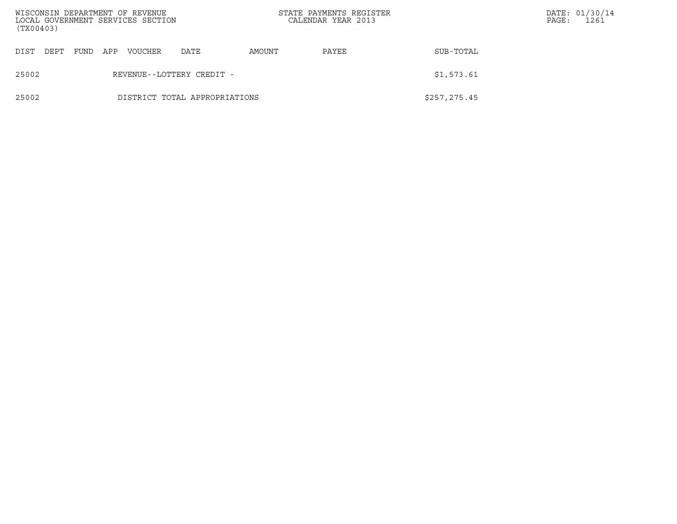| (TX00403) |      |     | WISCONSIN DEPARTMENT OF REVENUE<br>LOCAL GOVERNMENT SERVICES SECTION |                               |        | STATE PAYMENTS REGISTER<br>CALENDAR YEAR 2013 |               | PAGE: | DATE: 01/30/14<br>1261 |
|-----------|------|-----|----------------------------------------------------------------------|-------------------------------|--------|-----------------------------------------------|---------------|-------|------------------------|
| DIST DEPT | FUND | APP | VOUCHER                                                              | DATE                          | AMOUNT | PAYEE                                         | SUB-TOTAL     |       |                        |
| 25002     |      |     |                                                                      | REVENUE--LOTTERY CREDIT -     |        |                                               | \$1,573.61    |       |                        |
| 25002     |      |     |                                                                      | DISTRICT TOTAL APPROPRIATIONS |        |                                               | \$257, 275.45 |       |                        |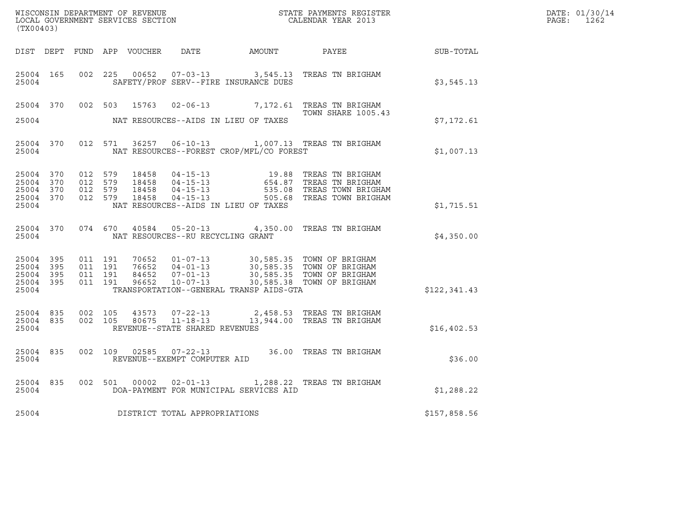| (TX00403)                                                 |                                          |                               |                                                  |                                                | $\tt WISCONSIM DEPARTMENT OF REVENUE$ $\tt WISCONSIMENT$ SERVICES SECTION $\tt CALENDAR$ YEAR 2013                                                                                                   |              | DATE: 01/30/14<br>PAGE: 1262 |
|-----------------------------------------------------------|------------------------------------------|-------------------------------|--------------------------------------------------|------------------------------------------------|------------------------------------------------------------------------------------------------------------------------------------------------------------------------------------------------------|--------------|------------------------------|
|                                                           |                                          |                               |                                                  |                                                | DIST DEPT FUND APP VOUCHER DATE AMOUNT PAYEE SUB-TOTAL                                                                                                                                               |              |                              |
| 25004                                                     |                                          |                               |                                                  | SAFETY/PROF SERV--FIRE INSURANCE DUES          | 25004 165 002 225 00652 07-03-13 3,545.13 TREAS TN BRIGHAM                                                                                                                                           | \$3,545.13   |                              |
|                                                           |                                          |                               |                                                  |                                                | 25004 370 002 503 15763 02-06-13 7,172.61 TREAS TN BRIGHAM<br><b>TOWN SHARE 1005.43</b>                                                                                                              |              |                              |
|                                                           |                                          |                               |                                                  | 25004 NAT RESOURCES--AIDS IN LIEU OF TAXES     |                                                                                                                                                                                                      | \$7,172.61   |                              |
|                                                           |                                          |                               |                                                  | 25004 NAT RESOURCES--FOREST CROP/MFL/CO FOREST | 25004 370 012 571 36257 06-10-13 1,007.13 TREAS TN BRIGHAM                                                                                                                                           | \$1,007.13   |                              |
| 25004 370<br>25004 370<br>25004 370<br>25004 370<br>25004 | 012 579<br>012 579<br>012 579<br>012 579 |                               |                                                  | NAT RESOURCES--AIDS IN LIEU OF TAXES           |                                                                                                                                                                                                      | \$1,715.51   |                              |
| 25004 370<br>25004                                        |                                          |                               | NAT RESOURCES--RU RECYCLING GRANT                |                                                | 074 670 40584 05-20-13 4,350.00 TREAS TN BRIGHAM                                                                                                                                                     | \$4,350.00   |                              |
| 25004 395<br>25004 395<br>25004 395<br>25004 395<br>25004 | 011 191                                  | 011 191<br>011 191<br>011 191 |                                                  | TRANSPORTATION--GENERAL TRANSP AIDS-GTA        | 70652   01-07-13   30,585.35   TOWN OF BRIGHAM<br>76652   04-01-13   30,585.35   TOWN OF BRIGHAM<br>84652   07-01-13   30,585.35   TOWN OF BRIGHAM<br>96652   10-07-13   30,585.38   TOWN OF BRIGHAM | \$122,341.43 |                              |
| 25004 835<br>25004                                        | 25004 835 002 105                        | 002 105                       | 43573 07-22-13<br>REVENUE--STATE SHARED REVENUES |                                                | 2,458.53 TREAS TN BRIGHAM<br>80675 11-18-13 13,944.00 TREAS TN BRIGHAM                                                                                                                               | \$16,402.53  |                              |
| 25004 835<br>25004                                        |                                          |                               | REVENUE--EXEMPT COMPUTER AID                     |                                                | 002 109 02585 07-22-13 36.00 TREAS TN BRIGHAM                                                                                                                                                        | \$36.00      |                              |
| 25004                                                     |                                          |                               |                                                  | DOA-PAYMENT FOR MUNICIPAL SERVICES AID         | 25004 835 002 501 00002 02-01-13 1,288.22 TREAS TN BRIGHAM                                                                                                                                           | \$1,288.22   |                              |
| 25004                                                     |                                          |                               | DISTRICT TOTAL APPROPRIATIONS                    |                                                |                                                                                                                                                                                                      | \$157,858.56 |                              |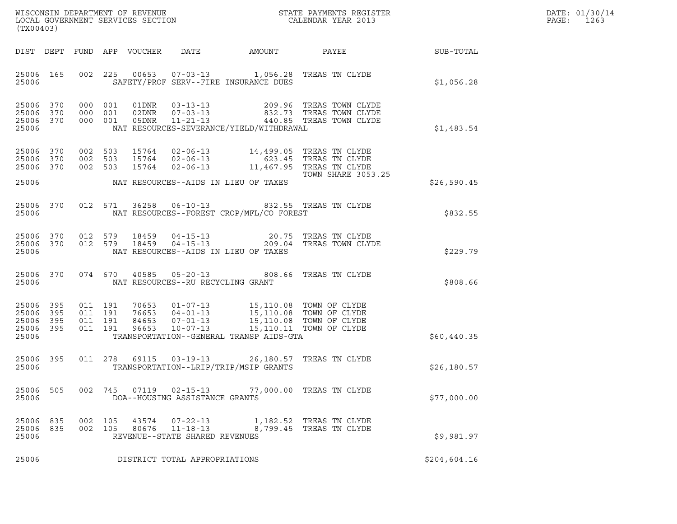| DATE: | 01/30/14 |
|-------|----------|
| PAGE: | 1263     |

| (TX00403)                                             |                        |                                          |     |                |                                                                    |                                                                                                                                                                                                                             |                                                                                                                                                                                  |              | DATE: 01/30/14<br>PAGE:<br>1263 |
|-------------------------------------------------------|------------------------|------------------------------------------|-----|----------------|--------------------------------------------------------------------|-----------------------------------------------------------------------------------------------------------------------------------------------------------------------------------------------------------------------------|----------------------------------------------------------------------------------------------------------------------------------------------------------------------------------|--------------|---------------------------------|
|                                                       |                        |                                          |     |                |                                                                    |                                                                                                                                                                                                                             | DIST DEPT FUND APP VOUCHER DATE AMOUNT PAYEE SUB-TOTAL                                                                                                                           |              |                                 |
| 25006                                                 | 25006 165              |                                          |     |                |                                                                    | SAFETY/PROF SERV--FIRE INSURANCE DUES                                                                                                                                                                                       | 002 225 00653 07-03-13 1,056.28 TREAS TN CLYDE                                                                                                                                   | \$1,056.28   |                                 |
| 25006 370<br>25006                                    | 25006 370<br>25006 370 | 000 001                                  |     |                |                                                                    | NAT RESOURCES-SEVERANCE/YIELD/WITHDRAWAL                                                                                                                                                                                    | 000 001 01DNR 03-13-13 209.96 TREAS TOWN CLYDE<br>000 001 02DNR 07-03-13 832.73 TREAS TOWN CLYDE<br>000 001 05DNR 11-21-13 440.85 TREAS TOWN CLYDE                               | \$1,483.54   |                                 |
| 25006<br>25006 370<br>25006                           | 25006 370<br>370       | 002 503<br>002 503<br>002 503            |     |                |                                                                    | NAT RESOURCES--AIDS IN LIEU OF TAXES                                                                                                                                                                                        | 15764  02-06-13  14,499.05 TREAS TN CLYDE<br>15764  02-06-13  623.45 TREAS TN CLYDE<br>15764  02-06-13  11,467.95 TREAS TN CLYDE<br>TOWN SHARE 3053<br><b>TOWN SHARE 3053.25</b> | \$26,590.45  |                                 |
| 25006                                                 |                        |                                          |     |                |                                                                    | NAT RESOURCES--FOREST CROP/MFL/CO FOREST                                                                                                                                                                                    | 25006 370 012 571 36258 06-10-13 832.55 TREAS TN CLYDE                                                                                                                           | \$832.55     |                                 |
| 25006                                                 | 25006 370<br>25006 370 |                                          |     |                |                                                                    | NAT RESOURCES--AIDS IN LIEU OF TAXES                                                                                                                                                                                        | 012 579 18459 04-15-13 20.75 TREAS TN CLYDE<br>012 579 18459 04-15-13 209.04 TREAS TOWN CLYDE                                                                                    | \$229.79     |                                 |
| 25006                                                 |                        |                                          |     |                | NAT RESOURCES--RU RECYCLING GRANT                                  |                                                                                                                                                                                                                             | 25006 370 074 670 40585 05-20-13 808.66 TREAS TN CLYDE                                                                                                                           | \$808.66     |                                 |
| 25006 395<br>25006<br>25006 395<br>25006 395<br>25006 | 395                    | 011 191<br>011 191<br>011 191<br>011 191 |     |                |                                                                    | 70653  01-07-13  15,110.08  TOWN OF CLYDE<br>76653  04-01-13  15,110.08  TOWN OF CLYDE<br>84653  07-01-13  15,110.08  TOWN OF CLYDE<br>96653  10-07-13  15,110.11  TOWN OF CLYDE<br>TRANSPORTATION--GENERAL TRANSP AIDS-GTA |                                                                                                                                                                                  | \$60,440.35  |                                 |
| 25006 395<br>25006                                    |                        |                                          |     |                |                                                                    | 011  278  69115  03-19-13  26,180.57  TREAS TN CLYDE<br>TRANSPORTATION--LRIP/TRIP/MSIP GRANTS                                                                                                                               |                                                                                                                                                                                  | \$26, 180.57 |                                 |
| 25006<br>25006                                        | 505                    | 002 745                                  |     | 07119          | DOA--HOUSING ASSISTANCE GRANTS                                     | 02-15-13 77,000.00 TREAS TN CLYDE                                                                                                                                                                                           |                                                                                                                                                                                  | \$77,000.00  |                                 |
| 25006<br>25006<br>25006                               | 835<br>835             | 002<br>002 105                           | 105 | 43574<br>80676 | $07 - 22 - 13$<br>$11 - 18 - 13$<br>REVENUE--STATE SHARED REVENUES |                                                                                                                                                                                                                             | 1,182.52 TREAS TN CLYDE<br>8,799.45 TREAS TN CLYDE                                                                                                                               | \$9.981.97   |                                 |
| 25006                                                 |                        |                                          |     |                | DISTRICT TOTAL APPROPRIATIONS                                      |                                                                                                                                                                                                                             |                                                                                                                                                                                  | \$204,604.16 |                                 |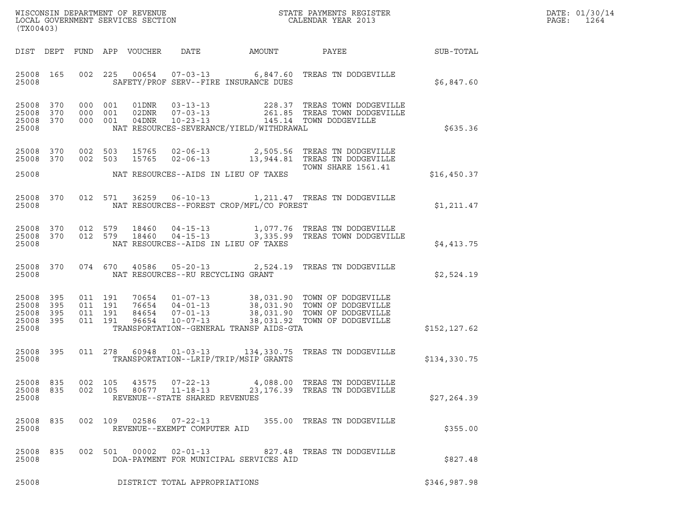| WISCONSIN DEPARTMENT OF REVENUE   | STATE PAYMENTS REGISTER | DATE: 01/30/14 |
|-----------------------------------|-------------------------|----------------|
| LOCAL GOVERNMENT SERVICES SECTION | CALENDAR YEAR 2013      | 1264<br>PAGE:  |

| (TX00403)                       |           |                    |                |                                                                    |                                            | WISCONSIN DEPARTMENT OF REVENUE<br>LOCAL GOVERNMENT SERVICES SECTION<br>CALENDAR YEAR 2013                                                                                                                                                                                                                                                        |              | DATE: 01/30/14<br>PAGE: 1264 |
|---------------------------------|-----------|--------------------|----------------|--------------------------------------------------------------------|--------------------------------------------|---------------------------------------------------------------------------------------------------------------------------------------------------------------------------------------------------------------------------------------------------------------------------------------------------------------------------------------------------|--------------|------------------------------|
|                                 |           |                    |                |                                                                    |                                            | DIST DEPT FUND APP VOUCHER DATE AMOUNT PAYEE TO SUB-TOTAL                                                                                                                                                                                                                                                                                         |              |                              |
| 25008                           |           |                    |                |                                                                    | SAFETY/PROF SERV--FIRE INSURANCE DUES      | 25008 165 002 225 00654 07-03-13 6,847.60 TREAS TN DODGEVILLE                                                                                                                                                                                                                                                                                     | \$6,847.60   |                              |
| 25008                           |           |                    |                |                                                                    | NAT RESOURCES-SEVERANCE/YIELD/WITHDRAWAL   | $\begin{tabular}{lcccc} 25008 & 370 & 000 & 001 & 01DNR & 03-13-13 & & 228.37 \end{tabular} \begin{tabular}{lcccc} 25008 & 370 & 000 & 001 & 02DNR & 07-03-13 & & 261.85 \end{tabular} \begin{tabular}{lcccc} 25008 & 370 & 000 & 001 & 02DNR & 07-03-13 & & 261.85 \end{tabular} \end{tabular} \begin{tabular}{lcccc} 25008 & 370 & 000 & 001 &$ | \$635.36     |                              |
|                                 |           |                    |                |                                                                    | 25008 NAT RESOURCES--AIDS IN LIEU OF TAXES | 25008 370 002 503 15765 02-06-13 2,505.56 TREAS TN DODGEVILLE<br>25008 370 002 503 15765 02-06-13 13,944.81 TREAS TN DODGEVILLE<br>TOWN SHARE 1561.41                                                                                                                                                                                             | \$16,450.37  |                              |
| 25008                           |           |                    |                |                                                                    | NAT RESOURCES--FOREST CROP/MFL/CO FOREST   | 25008 370 012 571 36259 06-10-13 1,211.47 TREAS TN DODGEVILLE                                                                                                                                                                                                                                                                                     | \$1,211.47   |                              |
| 25008                           |           |                    |                |                                                                    | NAT RESOURCES--AIDS IN LIEU OF TAXES       | $25008$ 370 012 579 18460 04-15-13 1,077.76 TREAS TN DODGEVILLE<br>25008 370 012 579 18460 04-15-13 3,335.99 TREAS TOWN DODGEVILLE                                                                                                                                                                                                                | \$4,413.75   |                              |
|                                 | 25008     |                    |                | NAT RESOURCES--RU RECYCLING GRANT                                  |                                            | 25008 370 074 670 40586 05-20-13 2,524.19 TREAS TN DODGEVILLE                                                                                                                                                                                                                                                                                     | \$2,524.19   |                              |
| 25008                           |           |                    |                |                                                                    | TRANSPORTATION--GENERAL TRANSP AIDS-GTA    | $\begin{array}{cccccccc} 25008 & 395 & 011 & 191 & 70654 & 01-07-13 & 38,031.90 & \text{TOWN OF DOOGEVILLE} \\ 25008 & 395 & 011 & 191 & 76654 & 04-01-13 & 38,031.90 & \text{TOWN OF DOOGEVILLE} \\ 25008 & 395 & 011 & 191 & 84654 & 07-01-13 & 38,031.90 & \text{TOWN OF DOOGEVILLE} \\ 25008 & 395 & 011 & 191 & 96$                          | \$152,127.62 |                              |
| 25008                           | 25008 395 |                    |                |                                                                    | TRANSPORTATION--LRIP/TRIP/MSIP GRANTS      | 011  278  60948  01-03-13  134,330.75  TREAS TN DODGEVILLE                                                                                                                                                                                                                                                                                        | \$134,330.75 |                              |
| 25008 835<br>25008 835<br>25008 |           | 002 105<br>002 105 | 43575<br>80677 | $07 - 22 - 13$<br>$11 - 18 - 13$<br>REVENUE--STATE SHARED REVENUES |                                            | 4,088.00 TREAS TN DODGEVILLE<br>23,176.39 TREAS TN DODGEVILLE                                                                                                                                                                                                                                                                                     | \$27, 264.39 |                              |
| 25008 835<br>25008              |           |                    | 002 109 02586  | 07-22-13<br>REVENUE--EXEMPT COMPUTER AID                           |                                            | 355.00 TREAS TN DODGEVILLE                                                                                                                                                                                                                                                                                                                        | \$355.00     |                              |
| 25008 835<br>25008              |           |                    | 002 501 00002  | $02 - 01 - 13$                                                     | DOA-PAYMENT FOR MUNICIPAL SERVICES AID     | 827.48 TREAS TN DODGEVILLE                                                                                                                                                                                                                                                                                                                        | \$827.48     |                              |
| 25008                           |           |                    |                | DISTRICT TOTAL APPROPRIATIONS                                      |                                            |                                                                                                                                                                                                                                                                                                                                                   | \$346,987.98 |                              |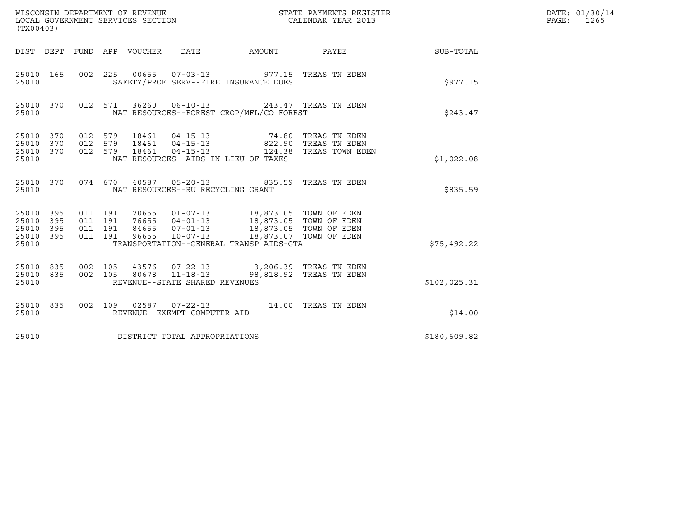| WISCONSIN DEPARTMENT OF REVENUE<br>LOCAL GOVERNMENT SERVICES SECTION<br>(TX00403) |     |                                          |         |                                 |                                   |                                                                                      | STATE PAYMENTS REGISTER<br>CALENDAR YEAR 2013                                                                                  |              | DATE: 01/30/14<br>PAGE: 1265 |
|-----------------------------------------------------------------------------------|-----|------------------------------------------|---------|---------------------------------|-----------------------------------|--------------------------------------------------------------------------------------|--------------------------------------------------------------------------------------------------------------------------------|--------------|------------------------------|
|                                                                                   |     |                                          |         | DIST DEPT FUND APP VOUCHER DATE |                                   |                                                                                      | AMOUNT PAYEE SUB-TOTAL                                                                                                         |              |                              |
| 25010 165<br>25010                                                                |     |                                          |         |                                 |                                   | 002 225 00655 07-03-13 977.15 TREAS TN EDEN<br>SAFETY/PROF SERV--FIRE INSURANCE DUES |                                                                                                                                | \$977.15     |                              |
| 25010 370<br>25010                                                                |     |                                          | 012 571 |                                 |                                   | 36260  06-10-13  243.47  TREAS TN EDEN<br>NAT RESOURCES--FOREST CROP/MFL/CO FOREST   |                                                                                                                                | \$243.47     |                              |
| 25010 370<br>25010 370<br>25010 370<br>25010                                      |     | 012 579<br>012 579                       | 012 579 |                                 |                                   | NAT RESOURCES--AIDS IN LIEU OF TAXES                                                 | 18461   04-15-13   74.80 TREAS TN EDEN<br>18461   04-15-13   822.90 TREAS TN EDEN<br>18461   04-15-13   124.38 TREAS TOWN EDEN | \$1,022.08   |                              |
| 25010 370<br>25010                                                                |     |                                          |         |                                 | NAT RESOURCES--RU RECYCLING GRANT | 074 670 40587 05-20-13 835.59 TREAS TN EDEN                                          |                                                                                                                                | \$835.59     |                              |
| 25010 395<br>25010 395<br>25010<br>25010 395<br>25010                             | 395 | 011 191<br>011 191<br>011 191<br>011 191 |         |                                 |                                   | TRANSPORTATION--GENERAL TRANSP AIDS-GTA                                              |                                                                                                                                | \$75,492.22  |                              |
| 25010 835<br>25010 835<br>25010                                                   |     | 002 105                                  | 002 105 |                                 | REVENUE--STATE SHARED REVENUES    | 43576 07-22-13 3,206.39 TREAS TN EDEN<br>80678  11-18-13  98,818.92  TREAS TN EDEN   |                                                                                                                                | \$102,025.31 |                              |
| 25010 835<br>25010                                                                |     |                                          |         |                                 | REVENUE--EXEMPT COMPUTER AID      | 002 109 02587 07-22-13 14.00 TREAS TN EDEN                                           |                                                                                                                                | \$14.00      |                              |
| 25010                                                                             |     |                                          |         |                                 | DISTRICT TOTAL APPROPRIATIONS     |                                                                                      |                                                                                                                                | \$180,609.82 |                              |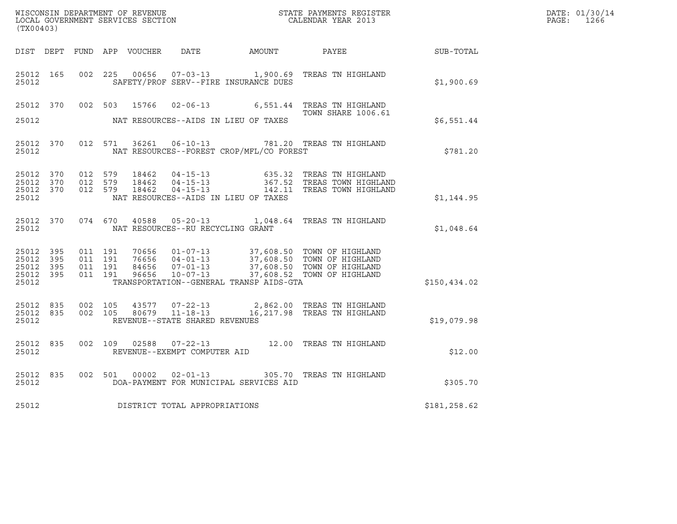| (TX00403)                                                 |           |                                          |  |                         |                                                          |                                          |                                                                                                                                                                                              |              | DATE: 01/30/14<br>$\mathtt{PAGE:}$<br>1266 |
|-----------------------------------------------------------|-----------|------------------------------------------|--|-------------------------|----------------------------------------------------------|------------------------------------------|----------------------------------------------------------------------------------------------------------------------------------------------------------------------------------------------|--------------|--------------------------------------------|
|                                                           |           |                                          |  |                         |                                                          |                                          | DIST DEPT FUND APP VOUCHER  DATE           AMOUNT           PAYEE                                                                                                                            | SUB-TOTAL    |                                            |
| 25012 165<br>25012                                        |           | 002 225                                  |  | 00656                   |                                                          | SAFETY/PROF SERV--FIRE INSURANCE DUES    | 07-03-13 1,900.69 TREAS TN HIGHLAND                                                                                                                                                          | \$1,900.69   |                                            |
| 25012 370                                                 |           | 002 503                                  |  | 15766                   |                                                          |                                          | 02-06-13 6,551.44 TREAS TN HIGHLAND                                                                                                                                                          |              |                                            |
| 25012                                                     |           |                                          |  |                         |                                                          | NAT RESOURCES--AIDS IN LIEU OF TAXES     | <b>TOWN SHARE 1006.61</b>                                                                                                                                                                    | \$6,551.44   |                                            |
| 25012 370<br>25012                                        |           |                                          |  |                         |                                                          | NAT RESOURCES--FOREST CROP/MFL/CO FOREST | 012 571 36261 06-10-13 781.20 TREAS TN HIGHLAND                                                                                                                                              | \$781.20     |                                            |
| 25012 370<br>25012 370<br>25012 370<br>25012              |           | 012 579<br>012 579<br>012 579            |  | 18462<br>18462<br>18462 |                                                          | NAT RESOURCES--AIDS IN LIEU OF TAXES     | 04-15-13 635.32 TREAS TN HIGHLAND<br>04-15-13 367.52 TREAS TOWN HIGHLAND<br>04-15-13 142.11 TREAS TOWN HIGHLAND                                                                              | \$1,144.95   |                                            |
| 25012                                                     | 25012 370 |                                          |  |                         | NAT RESOURCES--RU RECYCLING GRANT                        |                                          | 074 670 40588 05-20-13 1,048.64 TREAS TN HIGHLAND                                                                                                                                            | \$1,048.64   |                                            |
| 25012 395<br>25012 395<br>25012 395<br>25012 395<br>25012 |           | 011 191<br>011 191<br>011 191<br>011 191 |  |                         |                                                          | TRANSPORTATION--GENERAL TRANSP AIDS-GTA  | 70656  01-07-13  37,608.50  TOWN OF HIGHLAND<br>76656  04-01-13  37,608.50  TOWN OF HIGHLAND<br>84656  07-01-13  37,608.50  TOWN OF HIGHLAND<br>96656  10-07-13  37,608.52  TOWN OF HIGHLAND | \$150,434.02 |                                            |
| 25012 835<br>25012 835<br>25012                           |           | 002 105                                  |  |                         | 002 105 80679 11-18-13<br>REVENUE--STATE SHARED REVENUES |                                          | 43577  07-22-13  2,862.00  TREAS TN HIGHLAND<br>16,217.98 TREAS TN HIGHLAND                                                                                                                  | \$19,079.98  |                                            |
| 25012 835<br>25012                                        |           |                                          |  |                         | REVENUE--EXEMPT COMPUTER AID                             |                                          | 002 109 02588 07-22-13 12.00 TREAS TN HIGHLAND                                                                                                                                               | \$12.00      |                                            |
| 25012                                                     | 25012 835 | 002 501                                  |  | 00002                   |                                                          | DOA-PAYMENT FOR MUNICIPAL SERVICES AID   | 02-01-13 305.70 TREAS TN HIGHLAND                                                                                                                                                            | \$305.70     |                                            |
| 25012                                                     |           |                                          |  |                         | DISTRICT TOTAL APPROPRIATIONS                            |                                          |                                                                                                                                                                                              | \$181,258.62 |                                            |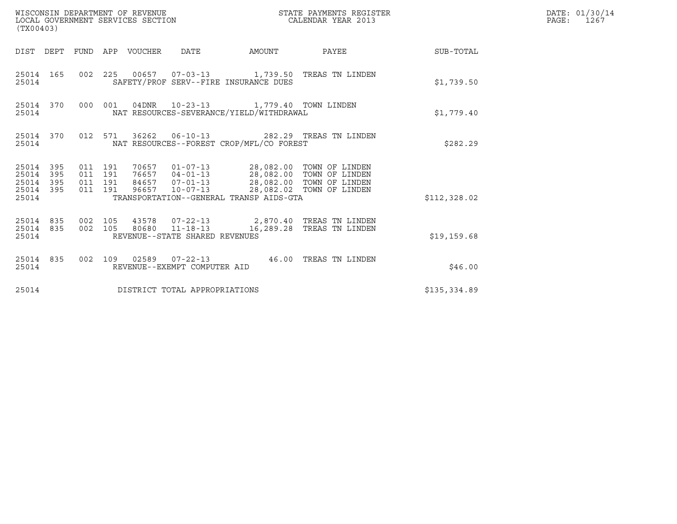| WISCONSIN DEPARTMENT OF REVENUE<br>(TX00403)              | LOCAL GOVERNMENT SERVICES SECTION                                                                                                                                                                                                             | STATE PAYMENTS REGISTER<br>CALENDAR YEAR 2013 | DATE: 01/30/14<br>PAGE:<br>1267 |
|-----------------------------------------------------------|-----------------------------------------------------------------------------------------------------------------------------------------------------------------------------------------------------------------------------------------------|-----------------------------------------------|---------------------------------|
|                                                           | DIST DEPT FUND APP VOUCHER DATE                                                                                                                                                                                                               | AMOUNT PAYEE SUB-TOTAL                        |                                 |
| 25014 165<br>25014                                        | 002 225 00657 07-03-13 1,739.50 TREAS TN LINDEN<br>SAFETY/PROF SERV--FIRE INSURANCE DUES                                                                                                                                                      | \$1,739.50                                    |                                 |
| 25014                                                     | 25014 370 000 001 04DNR 10-23-13 1,779.40 TOWN LINDEN<br>NAT RESOURCES-SEVERANCE/YIELD/WITHDRAWAL                                                                                                                                             | \$1.779.40                                    |                                 |
| 25014 370<br>25014                                        | 012 571 36262 06-10-13 282.29 TREAS TN LINDEN<br>NAT RESOURCES--FOREST CROP/MFL/CO FOREST                                                                                                                                                     | \$282.29                                      |                                 |
| 25014 395<br>25014 395<br>25014 395<br>25014 395<br>25014 | 011 191<br>011 191<br>011 191<br>96657 10-07-13 28,082.02 TOWN OF LINDEN<br>011 191<br>TRANSPORTATION--GENERAL TRANSP AIDS-GTA                                                                                                                | \$112,328.02                                  |                                 |
| 25014                                                     | $\begin{array}{cccccccc} 25014 & 835 & 002 & 105 & 43578 & 07-22-13 & & 2,870.40 & \text{TREAS TN LINDER} \\ 25014 & 835 & 002 & 105 & 80680 & 11-18-13 & & 16,289.28 & \text{TREAS TN LINDER} \end{array}$<br>REVENUE--STATE SHARED REVENUES | \$19,159.68                                   |                                 |
| 25014 835<br>25014                                        | 002 109 02589 07-22-13 46.00 TREAS TN LINDEN<br>REVENUE--EXEMPT COMPUTER AID                                                                                                                                                                  | \$46.00                                       |                                 |
| 25014                                                     | DISTRICT TOTAL APPROPRIATIONS                                                                                                                                                                                                                 | \$135,334.89                                  |                                 |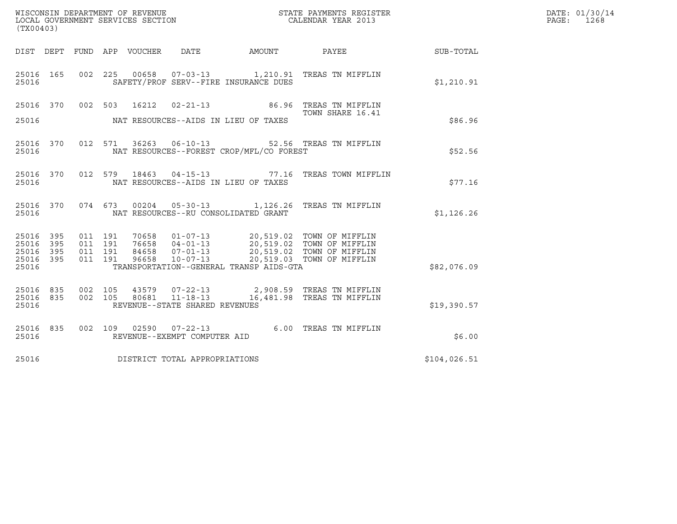| (TX00403)                                 |                          |                               |                            | WISCONSIN DEPARTMENT OF REVENUE<br>LOCAL GOVERNMENT SERVICES SECTION |                                          | DATE: 01/30/14<br>PAGE:<br>1268                                                                                                                                        |              |  |
|-------------------------------------------|--------------------------|-------------------------------|----------------------------|----------------------------------------------------------------------|------------------------------------------|------------------------------------------------------------------------------------------------------------------------------------------------------------------------|--------------|--|
|                                           |                          |                               | DIST DEPT FUND APP VOUCHER | DATE                                                                 | AMOUNT PAYEE                             |                                                                                                                                                                        | SUB-TOTAL    |  |
| 25016 165<br>25016                        |                          |                               |                            |                                                                      | SAFETY/PROF SERV--FIRE INSURANCE DUES    | 002 225 00658 07-03-13 1,210.91 TREAS TN MIFFLIN                                                                                                                       | \$1,210.91   |  |
|                                           |                          |                               | 25016 370 002 503 16212    |                                                                      |                                          | 02-21-13 86.96 TREAS TN MIFFLIN<br>TOWN SHARE 16.41                                                                                                                    |              |  |
| 25016                                     |                          |                               |                            |                                                                      | NAT RESOURCES--AIDS IN LIEU OF TAXES     |                                                                                                                                                                        | \$86.96      |  |
| 25016 370<br>25016                        |                          |                               | 012 571                    |                                                                      | NAT RESOURCES--FOREST CROP/MFL/CO FOREST | 36263  06-10-13  52.56  TREAS TN MIFFLIN                                                                                                                               | \$52.56      |  |
| 25016 370<br>25016                        |                          |                               | 012 579                    |                                                                      | NAT RESOURCES--AIDS IN LIEU OF TAXES     | 18463  04-15-13  77.16  TREAS TOWN MIFFLIN                                                                                                                             | \$77.16      |  |
| 25016 370<br>25016                        |                          |                               | 074 673                    |                                                                      | NAT RESOURCES--RU CONSOLIDATED GRANT     | 00204  05-30-13  1,126.26  TREAS TN MIFFLIN                                                                                                                            | \$1,126.26   |  |
| 25016<br>25016<br>25016<br>25016<br>25016 | 395<br>395<br>395<br>395 | 011 191<br>011 191<br>011 191 | 011 191<br>96658           | $10 - 07 - 13$                                                       | TRANSPORTATION--GENERAL TRANSP AIDS-GTA  | 70658  01-07-13  20,519.02  TOWN OF MIFFLIN<br>76658  04-01-13  20,519.02  TOWN OF MIFFLIN<br>84658  07-01-13  20,519.02  TOWN OF MIFFLIN<br>20,519.03 TOWN OF MIFFLIN | \$82,076.09  |  |
| 25016 835<br>25016 835<br>25016           |                          | 002 105                       | 002 105                    | REVENUE--STATE SHARED REVENUES                                       |                                          | 43579 07-22-13 2,908.59 TREAS TN MIFFLIN<br>80681  11-18-13  16,481.98  TREAS TN MIFFLIN                                                                               | \$19,390.57  |  |
| 25016 835<br>25016                        |                          |                               |                            | REVENUE--EXEMPT COMPUTER AID                                         |                                          | 002 109 02590 07-22-13 6.00 TREAS TN MIFFLIN                                                                                                                           | \$6.00       |  |
| 25016                                     |                          |                               |                            | DISTRICT TOTAL APPROPRIATIONS                                        |                                          |                                                                                                                                                                        | \$104,026.51 |  |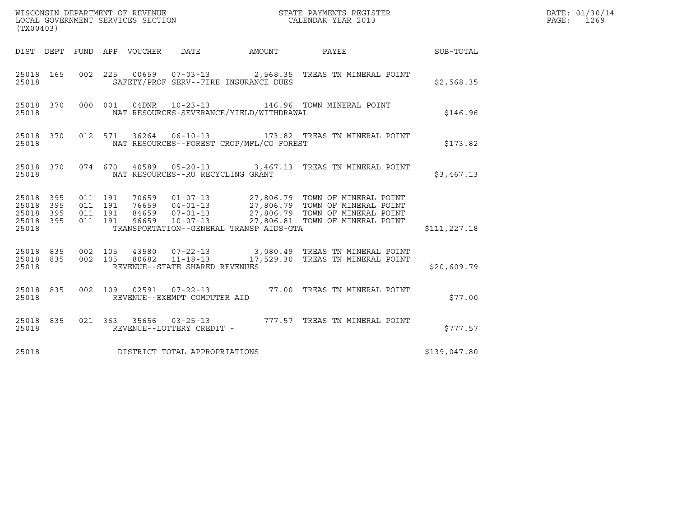|                                                       | (TX00403) |                               |                                 |  |                                   |                                          |  |                                                                                                                                                                                                                              |               | DATE: 01/30/14<br>PAGE:<br>1269 |
|-------------------------------------------------------|-----------|-------------------------------|---------------------------------|--|-----------------------------------|------------------------------------------|--|------------------------------------------------------------------------------------------------------------------------------------------------------------------------------------------------------------------------------|---------------|---------------------------------|
|                                                       |           |                               | DIST DEPT FUND APP VOUCHER DATE |  |                                   |                                          |  | AMOUNT PAYEE SUB-TOTAL                                                                                                                                                                                                       |               |                                 |
| 25018 165<br>25018                                    |           |                               |                                 |  |                                   | SAFETY/PROF SERV--FIRE INSURANCE DUES    |  | 002 225 00659 07-03-13 2,568.35 TREAS TN MINERAL POINT                                                                                                                                                                       | \$2,568.35    |                                 |
| 25018 370<br>25018                                    |           |                               |                                 |  | 000 001 04DNR 10-23-13            | NAT RESOURCES-SEVERANCE/YIELD/WITHDRAWAL |  | 146.96 TOWN MINERAL POINT                                                                                                                                                                                                    | \$146.96      |                                 |
| 25018 370<br>25018                                    |           |                               |                                 |  |                                   | NAT RESOURCES--FOREST CROP/MFL/CO FOREST |  | 012 571 36264 06-10-13 173.82 TREAS TN MINERAL POINT                                                                                                                                                                         | \$173.82      |                                 |
| 25018                                                 |           |                               |                                 |  | NAT RESOURCES--RU RECYCLING GRANT |                                          |  | 25018 370 074 670 40589 05-20-13 3,467.13 TREAS TN MINERAL POINT                                                                                                                                                             | \$3,467.13    |                                 |
| 25018 395<br>25018 395<br>25018<br>25018 395<br>25018 | 395       | 011 191<br>011 191<br>011 191 | 011 191                         |  |                                   | TRANSPORTATION--GENERAL TRANSP AIDS-GTA  |  | 70659   01-07-13   27,806.79   TOWN OF MINERAL POINT<br>76659   04-01-13   27,806.79   TOWN OF MINERAL POINT<br>84659   07-01-13   27,806.79   TOWN OF MINERAL POINT<br>96659   10-07-13   27,806.81   TOWN OF MINERAL POINT | \$111, 227.18 |                                 |
| 25018                                                 |           |                               |                                 |  | REVENUE--STATE SHARED REVENUES    |                                          |  | 25018 835 002 105 43580 07-22-13 3,080.49 TREAS TN MINERAL POINT<br>25018 835 002 105 80682 11-18-13 17,529.30 TREAS TN MINERAL POINT                                                                                        | \$20,609.79   |                                 |
| 25018 835<br>25018                                    |           |                               |                                 |  | REVENUE--EXEMPT COMPUTER AID      |                                          |  | 002 109 02591 07-22-13 77.00 TREAS TN MINERAL POINT                                                                                                                                                                          | \$77.00       |                                 |
| 25018 835<br>25018                                    |           |                               |                                 |  | REVENUE--LOTTERY CREDIT -         |                                          |  | 021 363 35656 03-25-13 777.57 TREAS TN MINERAL POINT                                                                                                                                                                         | \$777.57      |                                 |
| 25018                                                 |           |                               |                                 |  | DISTRICT TOTAL APPROPRIATIONS     |                                          |  |                                                                                                                                                                                                                              | \$139,047.80  |                                 |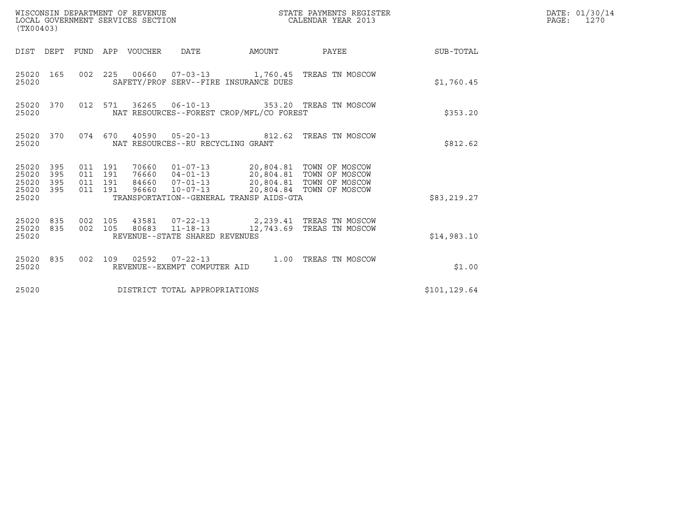| WISCONSIN DEPARTMENT OF REVENUE<br>(TX00403)                    | STATE PAYMENTS REGISTER<br>LOCAL GOVERNMENT SERVICES SECTION<br>CALENDAR YEAR 2013                                                                                                                                                                                          | DATE: 01/30/14<br>$\mathtt{PAGE:}$<br>1270 |
|-----------------------------------------------------------------|-----------------------------------------------------------------------------------------------------------------------------------------------------------------------------------------------------------------------------------------------------------------------------|--------------------------------------------|
|                                                                 | DIST DEPT FUND APP VOUCHER DATE<br>AMOUNT<br>PAYEE                                                                                                                                                                                                                          | SUB-TOTAL                                  |
| 25020 165<br>25020                                              | 002  225  00660  07-03-13  1,760.45  TREAS  TN MOSCOW<br>SAFETY/PROF SERV--FIRE INSURANCE DUES                                                                                                                                                                              | \$1,760.45                                 |
| 25020 370<br>25020                                              | 012 571 36265 06-10-13 353.20 TREAS TN MOSCOW<br>NAT RESOURCES--FOREST CROP/MFL/CO FOREST                                                                                                                                                                                   | \$353.20                                   |
| 25020 370<br>25020                                              | 074  670  40590  05-20-13  812.62  TREAS TN MOSCOW<br>NAT RESOURCES--RU RECYCLING GRANT                                                                                                                                                                                     | \$812.62                                   |
| 25020 395<br>25020<br>395<br>25020<br>395<br>25020 395<br>25020 | 70660  01-07-13  20,804.81  TOWN OF MOSCOW<br>76660  04-01-13  20,804.81  TOWN OF MOSCOW<br>011 191<br>011 191<br>84660  07-01-13  20,804.81  TOWN OF MOSCOW<br>011 191<br>96660  10-07-13  20,804.84  TOWN OF MOSCOW<br>011 191<br>TRANSPORTATION--GENERAL TRANSP AIDS-GTA | \$83,219.27                                |
| 25020 835<br>25020 835<br>25020                                 | 43581  07-22-13  2,239.41 TREAS TN MOSCOW<br>002 105<br>80683 11-18-13<br>002 105<br>12,743.69 TREAS TN MOSCOW<br>REVENUE--STATE SHARED REVENUES                                                                                                                            | \$14,983.10                                |
| 25020 835<br>25020                                              | 002 109 02592 07-22-13 1.00 TREAS TN MOSCOW<br>REVENUE--EXEMPT COMPUTER AID                                                                                                                                                                                                 | \$1.00                                     |
| 25020                                                           | DISTRICT TOTAL APPROPRIATIONS                                                                                                                                                                                                                                               | \$101,129.64                               |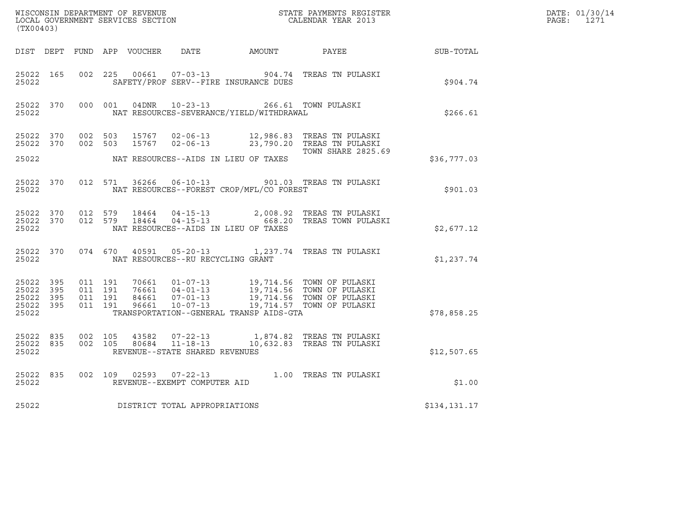| ${\tt WISCONSIM\ DEPARTMENT\ OF\ REVENUE}\qquad \qquad {\tt STATE\ PAYMENTS\ REGISTER} \\ {\tt LOCAL\ GOVERNMENT\ SERVICES\ SECTION}\qquad \qquad {\tt CALENDAR\ YEAR\ 2013}}$<br>(TX00403) |  |                                          |  |  |                                         |                                                                                                        |                                                                                                                                                                                          | $\label{eq:2.1} \mathcal{L}(\mathcal{L}^{\mathcal{A}}_{\mathcal{A}}(\mathcal{A})) = \mathcal{L}(\mathcal{L}^{\mathcal{A}}_{\mathcal{A}}(\mathcal{A})) = \mathcal{L}(\mathcal{L}^{\mathcal{A}}_{\mathcal{A}}(\mathcal{A})) = \mathcal{L}(\mathcal{L}^{\mathcal{A}}_{\mathcal{A}}(\mathcal{A})) = \mathcal{L}(\mathcal{L}^{\mathcal{A}}_{\mathcal{A}}(\mathcal{A})) = \mathcal{L}(\mathcal{L}^{\mathcal{A}}_{\mathcal{A}}(\mathcal{A}))) = \mathcal{L}(\mathcal{L}$ | DATE: 01/30/14<br>PAGE: 1271 |
|---------------------------------------------------------------------------------------------------------------------------------------------------------------------------------------------|--|------------------------------------------|--|--|-----------------------------------------|--------------------------------------------------------------------------------------------------------|------------------------------------------------------------------------------------------------------------------------------------------------------------------------------------------|-------------------------------------------------------------------------------------------------------------------------------------------------------------------------------------------------------------------------------------------------------------------------------------------------------------------------------------------------------------------------------------------------------------------------------------------------------------------|------------------------------|
|                                                                                                                                                                                             |  |                                          |  |  |                                         |                                                                                                        | DIST DEPT FUND APP VOUCHER DATE AMOUNT PAYEE SUB-TOTAL                                                                                                                                   |                                                                                                                                                                                                                                                                                                                                                                                                                                                                   |                              |
| 25022 165<br>25022                                                                                                                                                                          |  |                                          |  |  |                                         | SAFETY/PROF SERV--FIRE INSURANCE DUES                                                                  | 002 225 00661 07-03-13 904.74 TREAS TN PULASKI                                                                                                                                           | \$904.74                                                                                                                                                                                                                                                                                                                                                                                                                                                          |                              |
|                                                                                                                                                                                             |  |                                          |  |  |                                         | 25022 370 000 001 04DNR 10-23-13 266.61 TOWN PULASKI<br>25022 MAT RESOURCES-SEVERANCE/YIELD/WITHDRAWAL |                                                                                                                                                                                          | \$266.61                                                                                                                                                                                                                                                                                                                                                                                                                                                          |                              |
|                                                                                                                                                                                             |  |                                          |  |  |                                         |                                                                                                        | 25022 370 002 503 15767 02-06-13 12,986.83 TREAS TN PULASKI<br>$25022$ 370 002 503 15767 02-06-13 23,790.20 TREAS TN PULASKI                                                             |                                                                                                                                                                                                                                                                                                                                                                                                                                                                   |                              |
|                                                                                                                                                                                             |  |                                          |  |  |                                         | 25022 NAT RESOURCES--AIDS IN LIEU OF TAXES                                                             | <b>TOWN SHARE 2825.69</b>                                                                                                                                                                | \$36,777.03                                                                                                                                                                                                                                                                                                                                                                                                                                                       |                              |
|                                                                                                                                                                                             |  |                                          |  |  |                                         | 25022 NAT RESOURCES--FOREST CROP/MFL/CO FOREST                                                         | 25022 370 012 571 36266 06-10-13 901.03 TREAS TN PULASKI                                                                                                                                 | \$901.03                                                                                                                                                                                                                                                                                                                                                                                                                                                          |                              |
|                                                                                                                                                                                             |  |                                          |  |  |                                         | 25022 NAT RESOURCES--AIDS IN LIEU OF TAXES                                                             | 25022 370 012 579 18464 04-15-13 2,008.92 TREAS TN PULASKI<br>25022 370 012 579 18464 04-15-13 668.20 TREAS TOWN PULASKI                                                                 | \$2,677.12                                                                                                                                                                                                                                                                                                                                                                                                                                                        |                              |
|                                                                                                                                                                                             |  |                                          |  |  | 25022 NAT RESOURCES--RU RECYCLING GRANT |                                                                                                        | 25022 370 074 670 40591 05-20-13 1,237.74 TREAS TN PULASKI                                                                                                                               | \$1,237.74                                                                                                                                                                                                                                                                                                                                                                                                                                                        |                              |
| 25022 395<br>25022 395<br>25022 395<br>25022 395<br>25022                                                                                                                                   |  | 011 191<br>011 191<br>011 191<br>011 191 |  |  |                                         | TRANSPORTATION--GENERAL TRANSP AIDS-GTA                                                                | 70661  01-07-13  19,714.56  TOWN OF PULASKI<br>76661  04-01-13  19,714.56  TOWN OF PULASKI<br>84661  07-01-13  19,714.56  TOWN OF PULASKI<br>96661  10-07-13  19,714.57  TOWN OF PULASKI | \$78,858.25                                                                                                                                                                                                                                                                                                                                                                                                                                                       |                              |
| 25022                                                                                                                                                                                       |  |                                          |  |  | REVENUE--STATE SHARED REVENUES          |                                                                                                        | 25022 835 002 105 43582 07-22-13 1,874.82 TREAS TN PULASKI<br>25022 835 002 105 80684 11-18-13 10,632.83 TREAS TN PULASKI                                                                | \$12,507.65                                                                                                                                                                                                                                                                                                                                                                                                                                                       |                              |
| 25022                                                                                                                                                                                       |  |                                          |  |  | REVENUE--EXEMPT COMPUTER AID            |                                                                                                        | 25022 835 002 109 02593 07-22-13 1.00 TREAS TN PULASKI                                                                                                                                   | \$1.00                                                                                                                                                                                                                                                                                                                                                                                                                                                            |                              |
| 25022                                                                                                                                                                                       |  |                                          |  |  | DISTRICT TOTAL APPROPRIATIONS           |                                                                                                        |                                                                                                                                                                                          | \$134,131.17                                                                                                                                                                                                                                                                                                                                                                                                                                                      |                              |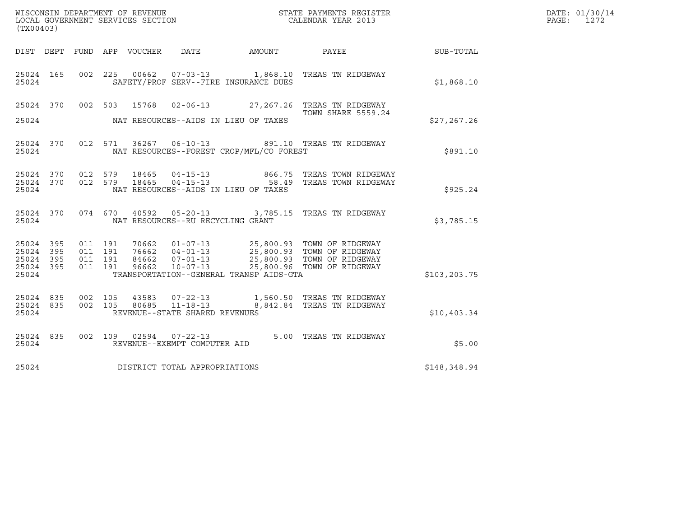| ${\tt WISCO} {\tt NSM} {\tt NEMR} {\tt NEMR} {\tt NEMR} {\tt NEMR} {\tt NEMR} {\tt NEMR} {\tt NEMR} {\tt NEMR} {\tt NEMR} {\tt NEMR} {\tt NEMR} {\tt NEMR} {\tt NEMR} {\tt NEMR} {\tt NEMR} {\tt NEMR} {\tt NEMR} {\tt NEMR} {\tt NEMR} {\tt NEMR} {\tt NEMR} {\tt NEMR} {\tt NEMR} {\tt NEMR} {\tt NEMR} {\tt NEMR} {\tt NEMR} {\tt NEMR} {\tt NEMR} {\tt NEMR} {\tt NEMR} {\tt NEMR} {\tt NEMR} {\tt NEMR} {\tt NEMR}$<br>(TX00403) |                          |                               |                    |                  |                                                              |                                          |                                                                                                                                                                                              |              | DATE: 01/30/14<br>PAGE:<br>1272 |
|---------------------------------------------------------------------------------------------------------------------------------------------------------------------------------------------------------------------------------------------------------------------------------------------------------------------------------------------------------------------------------------------------------------------------------------|--------------------------|-------------------------------|--------------------|------------------|--------------------------------------------------------------|------------------------------------------|----------------------------------------------------------------------------------------------------------------------------------------------------------------------------------------------|--------------|---------------------------------|
| DIST DEPT                                                                                                                                                                                                                                                                                                                                                                                                                             |                          |                               |                    | FUND APP VOUCHER | DATE                                                         | AMOUNT                                   | <b>PAYEE</b>                                                                                                                                                                                 | SUB-TOTAL    |                                 |
| 25024 165<br>25024                                                                                                                                                                                                                                                                                                                                                                                                                    |                          |                               |                    |                  |                                                              | SAFETY/PROF SERV--FIRE INSURANCE DUES    | 002 225 00662 07-03-13 1,868.10 TREAS TN RIDGEWAY                                                                                                                                            | \$1,868.10   |                                 |
| 25024 370<br>25024                                                                                                                                                                                                                                                                                                                                                                                                                    |                          |                               | 002 503            | 15768            |                                                              | NAT RESOURCES--AIDS IN LIEU OF TAXES     | 02-06-13 27,267.26 TREAS TN RIDGEWAY<br><b>TOWN SHARE 5559.24</b>                                                                                                                            | \$27, 267.26 |                                 |
| 25024 370<br>25024                                                                                                                                                                                                                                                                                                                                                                                                                    |                          |                               |                    |                  |                                                              | NAT RESOURCES--FOREST CROP/MFL/CO FOREST | 012 571 36267 06-10-13 891.10 TREAS TN RIDGEWAY                                                                                                                                              | \$891.10     |                                 |
| 25024 370<br>25024<br>25024                                                                                                                                                                                                                                                                                                                                                                                                           | 370                      | 012 579                       | 012 579            | 18465<br>18465   | $04 - 15 - 13$                                               | NAT RESOURCES--AIDS IN LIEU OF TAXES     | 866.75 TREAS TOWN RIDGEWAY<br>04-15-13 58.49 TREAS TOWN RIDGEWAY                                                                                                                             | \$925.24     |                                 |
| 25024 370<br>25024                                                                                                                                                                                                                                                                                                                                                                                                                    |                          |                               |                    |                  | NAT RESOURCES--RU RECYCLING GRANT                            |                                          | 074 670 40592 05-20-13 3,785.15 TREAS TN RIDGEWAY                                                                                                                                            | \$3,785.15   |                                 |
| 25024<br>25024<br>25024<br>25024<br>25024                                                                                                                                                                                                                                                                                                                                                                                             | 395<br>395<br>395<br>395 | 011 191<br>011 191<br>011 191 | 011 191            |                  |                                                              | TRANSPORTATION--GENERAL TRANSP AIDS-GTA  | 70662  01-07-13  25,800.93  TOWN OF RIDGEWAY<br>76662  04-01-13  25,800.93  TOWN OF RIDGEWAY<br>84662  07-01-13  25,800.93  TOWN OF RIDGEWAY<br>96662  10-07-13  25,800.96  TOWN OF RIDGEWAY | \$103,203.75 |                                 |
| 25024 835<br>25024<br>25024                                                                                                                                                                                                                                                                                                                                                                                                           | 835                      |                               | 002 105<br>002 105 | 43583<br>80685   | 07-22-13<br>$11 - 18 - 13$<br>REVENUE--STATE SHARED REVENUES |                                          | 1,560.50 TREAS TN RIDGEWAY<br>8,842.84 TREAS TN RIDGEWAY                                                                                                                                     | \$10,403.34  |                                 |
| 25024 835<br>25024                                                                                                                                                                                                                                                                                                                                                                                                                    |                          |                               |                    |                  | 002 109 02594 07-22-13<br>REVENUE--EXEMPT COMPUTER AID       |                                          | 5.00 TREAS TN RIDGEWAY                                                                                                                                                                       | \$5.00       |                                 |
| 25024                                                                                                                                                                                                                                                                                                                                                                                                                                 |                          |                               |                    |                  | DISTRICT TOTAL APPROPRIATIONS                                |                                          |                                                                                                                                                                                              | \$148,348.94 |                                 |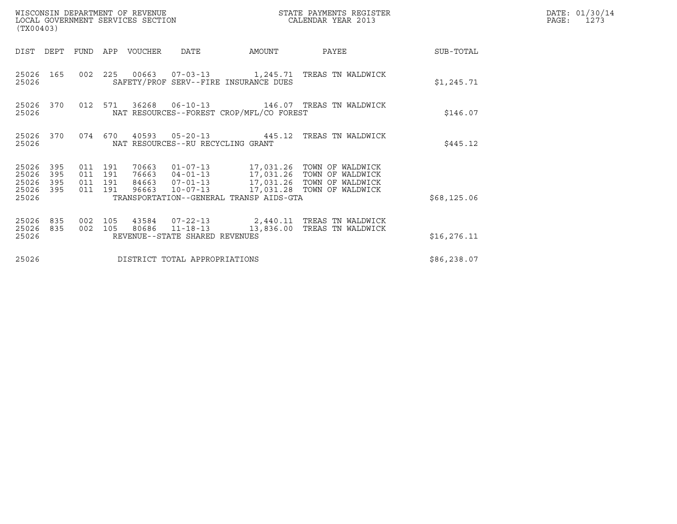| (TX00403)                                                             |                               | WISCONSIN DEPARTMENT OF REVENUE<br>LOCAL GOVERNMENT SERVICES SECTION |                                   |                                          | STATE PAYMENTS REGISTER<br>CALENDAR YEAR 2013                                                                                                                     |              | DATE: 01/30/14<br>PAGE:<br>1273 |
|-----------------------------------------------------------------------|-------------------------------|----------------------------------------------------------------------|-----------------------------------|------------------------------------------|-------------------------------------------------------------------------------------------------------------------------------------------------------------------|--------------|---------------------------------|
| DIST DEPT                                                             | FUND                          | APP VOUCHER                                                          | <b>DATE</b>                       | AMOUNT                                   | PAYEE                                                                                                                                                             | SUB-TOTAL    |                                 |
| 25026<br>165<br>25026                                                 |                               |                                                                      |                                   | SAFETY/PROF SERV--FIRE INSURANCE DUES    | 002  225  00663  07-03-13   1,245.71  TREAS TN WALDWICK                                                                                                           | \$1,245.71   |                                 |
| 25026 370<br>25026                                                    |                               | 012 571                                                              |                                   | NAT RESOURCES--FOREST CROP/MFL/CO FOREST |                                                                                                                                                                   | \$146.07     |                                 |
| 25026 370<br>25026                                                    |                               | 074 670                                                              | NAT RESOURCES--RU RECYCLING GRANT |                                          | 40593  05-20-13  445.12  TREAS TN WALDWICK                                                                                                                        | \$445.12     |                                 |
| 25026<br>395<br>25026<br>395<br>25026<br>395<br>395<br>25026<br>25026 | 011 191<br>011 191<br>011 191 | 70663<br>011 191<br>96663                                            | $10 - 07 - 13$                    | TRANSPORTATION--GENERAL TRANSP AIDS-GTA  | 01-07-13 17,031.26 TOWN OF WALDWICK<br>76663  04-01-13  17,031.26  TOWN OF WALDWICK<br>84663  07-01-13  17,031.26  TOWN OF WALDWICK<br>17,031.28 TOWN OF WALDWICK | \$68,125.06  |                                 |
| 25026<br>835<br>25026<br>835<br>25026                                 | 002 105<br>002 105            |                                                                      | REVENUE--STATE SHARED REVENUES    |                                          | 43584  07-22-13  2,440.11  TREAS TN WALDWICK<br>80686  11-18-13  13,836.00  TREAS TN WALDWICK                                                                     | \$16, 276.11 |                                 |
| 25026                                                                 |                               |                                                                      | DISTRICT TOTAL APPROPRIATIONS     |                                          |                                                                                                                                                                   | \$86, 238.07 |                                 |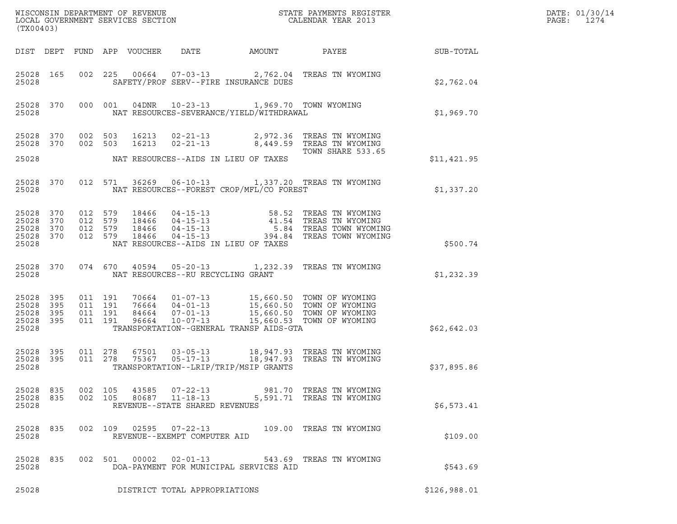| (TX00403)                                             |           |                                          |         |                                 |                                |                                                                                                    | ${\tt WISCONSIM\ DEPARTMENT\ OF\ REVENUE}\qquad \qquad {\tt STATE\ PAYMENTS\ REGISTER} \\ {\tt LOCAL\ GOVERNMENT\ SERVICES\ SECTION}\qquad \qquad {\tt CALENDAR\ YEAR\ 2013}$                                                                                                                                                 |                 | DATE: 01/30/14<br>PAGE:<br>1274 |
|-------------------------------------------------------|-----------|------------------------------------------|---------|---------------------------------|--------------------------------|----------------------------------------------------------------------------------------------------|-------------------------------------------------------------------------------------------------------------------------------------------------------------------------------------------------------------------------------------------------------------------------------------------------------------------------------|-----------------|---------------------------------|
|                                                       |           |                                          |         | DIST DEPT FUND APP VOUCHER DATE |                                | AMOUNT                                                                                             |                                                                                                                                                                                                                                                                                                                               | PAYEE SUB-TOTAL |                                 |
| 25028                                                 | 25028 165 |                                          |         |                                 |                                | SAFETY/PROF SERV--FIRE INSURANCE DUES                                                              | 002 225 00664 07-03-13 2,762.04 TREAS TN WYOMING                                                                                                                                                                                                                                                                              | \$2,762.04      |                                 |
| 25028                                                 |           |                                          |         |                                 |                                | 25028 370 000 001 04DNR 10-23-13 1,969.70 TOWN WYOMING<br>NAT RESOURCES-SEVERANCE/YIELD/WITHDRAWAL |                                                                                                                                                                                                                                                                                                                               | \$1,969.70      |                                 |
| 25028 370                                             |           | 002 503                                  |         |                                 |                                |                                                                                                    | 25028 370 002 503 16213 02-21-13 2,972.36 TREAS TN WYOMING<br>16213  02-21-13  8,449.59  TREAS TN WYOMING                                                                                                                                                                                                                     |                 |                                 |
| 25028                                                 |           |                                          |         |                                 |                                | NAT RESOURCES--AIDS IN LIEU OF TAXES                                                               | TOWN SHARE 533.65                                                                                                                                                                                                                                                                                                             | \$11,421.95     |                                 |
| 25028                                                 | 25028 370 |                                          |         |                                 |                                | NAT RESOURCES--FOREST CROP/MFL/CO FOREST                                                           | 012 571 36269 06-10-13 1,337.20 TREAS TN WYOMING                                                                                                                                                                                                                                                                              | \$1,337.20      |                                 |
| 25028                                                 |           |                                          |         |                                 |                                | NAT RESOURCES--AIDS IN LIEU OF TAXES                                                               | $\begin{array}{cccccccc} 25028 & 370 & 012 & 579 & 18466 & 04-15-13 & & & & & 58.52 & \text{TREAS TN WYOMING} \\ 25028 & 370 & 012 & 579 & 18466 & 04-15-13 & & & & 41.54 & \text{TREAS TN WYOMING} \\ 25028 & 370 & 012 & 579 & 18466 & 04-15-13 & & & & 5.84 & \text{TREAS TOWN WYOMING} \\ 25028 & 370 & 012 & 579 & 1846$ | \$500.74        |                                 |
| 25028                                                 |           |                                          |         |                                 |                                | NAT RESOURCES--RU RECYCLING GRANT                                                                  | 25028 370 074 670 40594 05-20-13 1,232.39 TREAS TN WYOMING                                                                                                                                                                                                                                                                    | \$1,232.39      |                                 |
| 25028<br>25028 395<br>25028 395<br>25028 395<br>25028 | 395       | 011 191<br>011 191<br>011 191<br>011 191 |         |                                 |                                | TRANSPORTATION--GENERAL TRANSP AIDS-GTA                                                            | 70664  01-07-13  15,660.50  TOWN OF WYOMING<br>76664  04-01-13  15,660.50  TOWN OF WYOMING<br>84664  07-01-13  15,660.50  TOWN OF WYOMING<br>96664  10-07-13  15,660.53  TOWN OF WYOMING                                                                                                                                      | \$62,642.03     |                                 |
| 25028                                                 |           |                                          |         |                                 |                                | TRANSPORTATION--LRIP/TRIP/MSIP GRANTS                                                              | $\begin{array}{cccccccc} 25028 & 395 & 011 & 278 & 67501 & 03-05-13 & 18,947.93 & \text{TREAS TN WYOMING} \\ 25028 & 395 & 011 & 278 & 75367 & 05-17-13 & 18,947.93 & \text{TREAS TN WYOMING} \end{array}$                                                                                                                    | \$37,895.86     |                                 |
| 25028 835<br>25028 835<br>25028                       |           | 002 105<br>002 105                       |         |                                 | REVENUE--STATE SHARED REVENUES |                                                                                                    | 43585   07-22-13   981.70   TREAS TN WYOMING<br>80687   11-18-13   5,591.71   TREAS TN WYOMING                                                                                                                                                                                                                                | \$6,573.41      |                                 |
| 25028                                                 | 25028 835 |                                          | 002 109 |                                 | REVENUE--EXEMPT COMPUTER AID   |                                                                                                    |                                                                                                                                                                                                                                                                                                                               | \$109.00        |                                 |
| 25028 835<br>25028                                    |           |                                          |         | 002 501 00002                   |                                | DOA-PAYMENT FOR MUNICIPAL SERVICES AID                                                             | 02-01-13 543.69 TREAS TN WYOMING                                                                                                                                                                                                                                                                                              | \$543.69        |                                 |
| 25028                                                 |           |                                          |         |                                 | DISTRICT TOTAL APPROPRIATIONS  |                                                                                                    |                                                                                                                                                                                                                                                                                                                               | \$126,988.01    |                                 |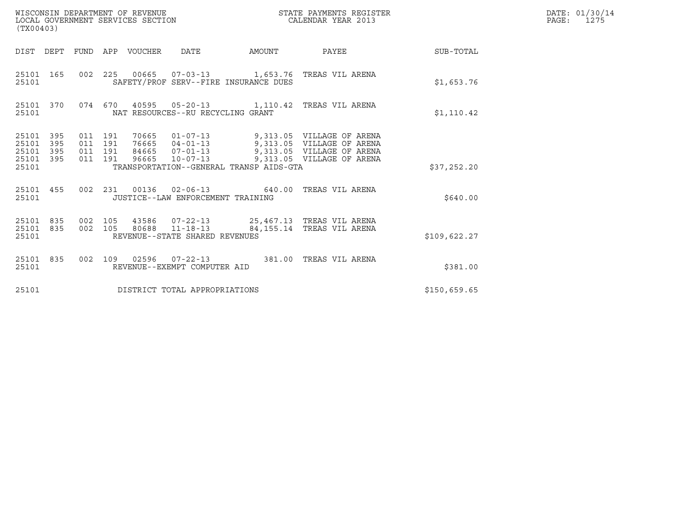| (TX00403)                                     |                   |                                      |     | WISCONSIN DEPARTMENT OF REVENUE<br>LOCAL GOVERNMENT SERVICES SECTION |                                                  |                                         | STATE PAYMENTS REGISTER<br>CALENDAR YEAR 2013                                                                                                                 |                  | DATE: 01/30/14<br>$\mathtt{PAGE:}$<br>1275 |
|-----------------------------------------------|-------------------|--------------------------------------|-----|----------------------------------------------------------------------|--------------------------------------------------|-----------------------------------------|---------------------------------------------------------------------------------------------------------------------------------------------------------------|------------------|--------------------------------------------|
|                                               |                   |                                      |     | DIST DEPT FUND APP VOUCHER DATE                                      |                                                  | AMOUNT                                  | PAYEE                                                                                                                                                         | <b>SUB-TOTAL</b> |                                            |
| 25101 165<br>25101                            |                   |                                      |     |                                                                      |                                                  | SAFETY/PROF SERV--FIRE INSURANCE DUES   | 002  225  00665  07-03-13  1,653.76  TREAS VIL ARENA                                                                                                          | \$1,653.76       |                                            |
| 25101 370<br>25101                            |                   |                                      |     |                                                                      | NAT RESOURCES--RU RECYCLING GRANT                |                                         | 074 670 40595 05-20-13 1,110.42 TREAS VIL ARENA                                                                                                               | \$1,110.42       |                                            |
| 25101 395<br>25101<br>25101<br>25101<br>25101 | 395<br>395<br>395 | 011 191<br>011<br>011 191<br>011 191 | 191 | 70665<br>96665                                                       | $10 - 07 - 13$                                   | TRANSPORTATION--GENERAL TRANSP AIDS-GTA | 01-07-13 9,313.05 VILLAGE OF ARENA<br>76665  04-01-13  9,313.05  VILLAGE OF ARENA<br>84665  07-01-13  9,313.05  VILLAGE OF ARENA<br>9,313.05 VILLAGE OF ARENA | \$37,252.20      |                                            |
| 25101 455<br>25101                            |                   |                                      |     |                                                                      | JUSTICE--LAW ENFORCEMENT TRAINING                |                                         | 002 231 00136 02-06-13 640.00 TREAS VIL ARENA                                                                                                                 | \$640.00         |                                            |
| 25101 835<br>25101 835<br>25101               |                   | 002 105<br>002 105                   |     | 80688                                                                | $11 - 18 - 13$<br>REVENUE--STATE SHARED REVENUES |                                         | 43586  07-22-13  25,467.13  TREAS VIL ARENA<br>84,155.14 TREAS VIL ARENA                                                                                      | \$109,622.27     |                                            |
| 25101 835<br>25101                            |                   |                                      |     |                                                                      | REVENUE--EXEMPT COMPUTER AID                     |                                         | 002 109 02596 07-22-13 381.00 TREAS VIL ARENA                                                                                                                 | \$381.00         |                                            |
| 25101                                         |                   |                                      |     |                                                                      | DISTRICT TOTAL APPROPRIATIONS                    |                                         |                                                                                                                                                               | \$150,659.65     |                                            |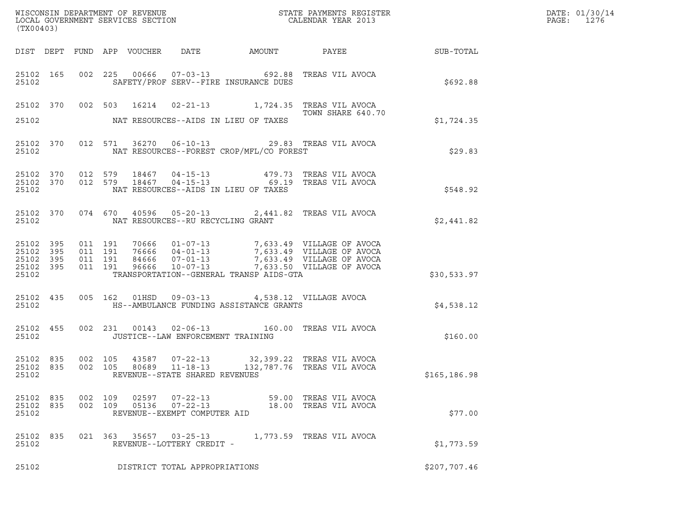| WISCONSIN DEPARTMENT OF REVENUE<br>LOCAL GOVERNMENT SERVICES SECTION<br>(TX00403) | STATE PAYMENTS REGISTER<br>CALENDAR YEAR 2013 | DATE: 01/30/14<br>PAGE:<br>1276 |
|-----------------------------------------------------------------------------------|-----------------------------------------------|---------------------------------|

| (TX00403)                   |     |                    |                |                                                            |                                                                                                          | WISCONSIN DEPARTMENT OF REVENUE<br>LOCAL GOVERNMENT SERVICES SECTION TERM CALENDAR YEAR 2013                                                                                                                                                                                                                       |                                                              | DATE: 01/30/14<br>PAGE: 1276 |
|-----------------------------|-----|--------------------|----------------|------------------------------------------------------------|----------------------------------------------------------------------------------------------------------|--------------------------------------------------------------------------------------------------------------------------------------------------------------------------------------------------------------------------------------------------------------------------------------------------------------------|--------------------------------------------------------------|------------------------------|
|                             |     |                    |                |                                                            |                                                                                                          |                                                                                                                                                                                                                                                                                                                    | DIST DEPT FUND APP VOUCHER DATE AMOUNT PAYEE PAYER SUB-TOTAL |                              |
| 25102                       |     |                    |                |                                                            | SAFETY/PROF SERV--FIRE INSURANCE DUES                                                                    | 25102 165 002 225 00666 07-03-13 692.88 TREAS VIL AVOCA                                                                                                                                                                                                                                                            | \$692.88                                                     |                              |
|                             |     |                    |                |                                                            | 25102 NAT RESOURCES--AIDS IN LIEU OF TAXES                                                               | 25102 370 002 503 16214 02-21-13 1,724.35 TREAS VIL AVOCA<br>TOWN SHARE 640.7<br>TOWN SHARE 640.70                                                                                                                                                                                                                 | \$1,724.35                                                   |                              |
|                             |     |                    |                |                                                            | 25102 NAT RESOURCES--FOREST CROP/MFL/CO FOREST                                                           | 25102 370 012 571 36270 06-10-13 29.83 TREAS VIL AVOCA                                                                                                                                                                                                                                                             | \$29.83                                                      |                              |
| 25102                       |     |                    |                |                                                            | NAT RESOURCES--AIDS IN LIEU OF TAXES                                                                     | $\begin{array}{cccccccc} 25102 & 370 & 012 & 579 & 18467 & 04-15-13 & & & 479.73 & \text{TREAS VIL AVOCA} \\ 25102 & 370 & 012 & 579 & 18467 & 04-15-13 & & & 69.19 & \text{TREAS VIL AVOCA} \end{array}$                                                                                                          | \$548.92                                                     |                              |
|                             |     |                    |                | 25102 NAT RESOURCES--RU RECYCLING GRANT                    |                                                                                                          | 25102 370 074 670 40596 05-20-13 2,441.82 TREAS VIL AVOCA                                                                                                                                                                                                                                                          | \$2,441.82                                                   |                              |
| 25102                       |     |                    |                |                                                            | TRANSPORTATION--GENERAL TRANSP AIDS-GTA                                                                  | $\begin{tabular}{cccccc} 25102 & 395 & 011 & 191 & 70666 & 01-07-13 & 7,633.49 & \text{VILLAGE OF AVOCA} \\ 25102 & 395 & 011 & 191 & 76666 & 04-01-13 & 7,633.49 & \text{VILLAGE OF AVOCA} \\ 25102 & 395 & 011 & 191 & 84666 & 07-01-13 & 7,633.49 & \text{VILLAGE OF AVOCA} \\ 25102 & 395 & 011 & 191 & 96666$ | \$30,533.97                                                  |                              |
|                             |     |                    |                |                                                            | 25102 435 005 162 01HSD 09-03-13 4,538.12 VILLAGE AVOCA<br>25102 HS--AMBULANCE FUNDING ASSISTANCE GRANTS |                                                                                                                                                                                                                                                                                                                    | \$4,538.12                                                   |                              |
|                             |     |                    |                | 25102 JUSTICE--LAW ENFORCEMENT TRAINING                    |                                                                                                          | 25102 455 002 231 00143 02-06-13 160.00 TREAS VIL AVOCA                                                                                                                                                                                                                                                            | \$160.00                                                     |                              |
| 25102                       |     |                    |                | REVENUE--STATE SHARED REVENUES                             |                                                                                                          | $\begin{array}{cccc} 25102 & 835 & 002 & 105 & 43587 & 07-22-13 & 32,399.22 & \text{TREAS VIL AVOCA} \\ 25102 & 835 & 002 & 105 & 80689 & 11-18-13 & 132,787.76 & \text{TREAS VIL AVOCA} \end{array}$                                                                                                              | \$165, 186.98                                                |                              |
| 25102<br>25102 835<br>25102 | 835 | 002 109<br>002 109 | 02597<br>05136 | $07 - 22 - 13$<br>07-22-13<br>REVENUE--EXEMPT COMPUTER AID | 59.00                                                                                                    | TREAS VIL AVOCA<br>18.00 TREAS VIL AVOCA                                                                                                                                                                                                                                                                           | \$77.00                                                      |                              |
| 25102 835<br>25102          |     | 021 363            | 35657          | $03 - 25 - 13$<br>REVENUE--LOTTERY CREDIT -                |                                                                                                          | 1,773.59   TREAS VIL AVOCA                                                                                                                                                                                                                                                                                         | \$1,773.59                                                   |                              |
| 25102                       |     |                    |                | DISTRICT TOTAL APPROPRIATIONS                              |                                                                                                          |                                                                                                                                                                                                                                                                                                                    | \$207,707.46                                                 |                              |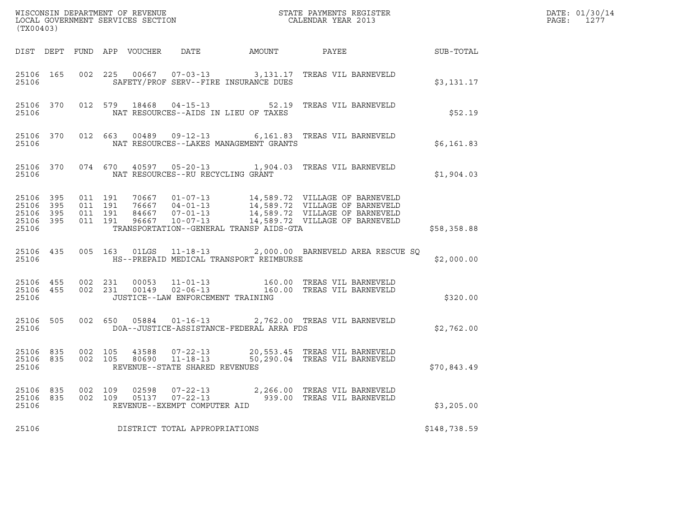| (TX00403)                                                 |                        |                               |            |                |                                                            |                                          | % WISCONSIN DEPARTMENT OF REVENUE $$\tt STATE$ PAYMENTS REGISTER LOCAL GOVERNMENT SERVICES SECTION $$\tt CALEINDAR$ YEAR 2013                                                                                |              | DATE: 01/30/14<br>$\mathtt{PAGE:}$<br>1277 |
|-----------------------------------------------------------|------------------------|-------------------------------|------------|----------------|------------------------------------------------------------|------------------------------------------|--------------------------------------------------------------------------------------------------------------------------------------------------------------------------------------------------------------|--------------|--------------------------------------------|
|                                                           |                        |                               |            |                |                                                            |                                          | DIST DEPT FUND APP VOUCHER DATE AMOUNT PAYEE SUB-TOTAL                                                                                                                                                       |              |                                            |
| 25106                                                     |                        |                               |            |                |                                                            | SAFETY/PROF SERV--FIRE INSURANCE DUES    | 25106 165 002 225 00667 07-03-13 3,131.17 TREAS VIL BARNEVELD                                                                                                                                                | \$3,131.17   |                                            |
| 25106                                                     |                        |                               |            |                |                                                            | NAT RESOURCES--AIDS IN LIEU OF TAXES     | 25106 370 012 579 18468 04-15-13 52.19 TREAS VIL BARNEVELD                                                                                                                                                   | \$52.19      |                                            |
| 25106                                                     |                        |                               |            |                |                                                            | NAT RESOURCES--LAKES MANAGEMENT GRANTS   | 25106 370 012 663 00489 09-12-13 6,161.83 TREAS VIL BARNEVELD                                                                                                                                                | \$6,161.83   |                                            |
| 25106                                                     |                        |                               |            |                |                                                            | NAT RESOURCES--RU RECYCLING GRANT        | 25106 370 074 670 40597 05-20-13 1,904.03 TREAS VIL BARNEVELD                                                                                                                                                | \$1,904.03   |                                            |
| 25106 395<br>25106 395<br>25106 395<br>25106 395<br>25106 |                        | 011 191<br>011 191<br>011 191 | 011 191    |                |                                                            | TRANSPORTATION--GENERAL TRANSP AIDS-GTA  | 70667  01-07-13  14,589.72  VILLAGE OF BARNEVELD<br>76667  04-01-13  14,589.72  VILLAGE OF BARNEVELD<br>84667  07-01-13  14,589.72  VILLAGE OF BARNEVELD<br>96667  10-07-13  14,589.72  VILLAGE OF BARNEVELD | \$58,358.88  |                                            |
| 25106                                                     |                        |                               |            |                |                                                            | HS--PREPAID MEDICAL TRANSPORT REIMBURSE  | 25106 435 005 163 01LGS 11-18-13 2,000.00 BARNEVELD AREA RESCUE SQ                                                                                                                                           | \$2,000.00   |                                            |
| 25106                                                     | 25106 455<br>25106 455 |                               |            |                |                                                            | JUSTICE--LAW ENFORCEMENT TRAINING        | 002  231  00053  11-01-13  160.00 TREAS VIL BARNEVELD<br>002  231  00149  02-06-13  160.00 TREAS VIL BARNEVELD                                                                                               | \$320.00     |                                            |
| 25106                                                     | 25106 505              |                               |            |                |                                                            | DOA--JUSTICE-ASSISTANCE-FEDERAL ARRA FDS | 002 650 05884 01-16-13 2,762.00 TREAS VIL BARNEVELD                                                                                                                                                          | \$2,762.00   |                                            |
| 25106 835<br>25106                                        |                        | 25106 835 002 105             |            |                | REVENUE--STATE SHARED REVENUES                             |                                          | 002 105 43588 07-22-13 20,553.45 TREAS VIL BARNEVELD<br>002 105 80690 11-18-13 50,290.04 TREAS VIL BARNEVELD                                                                                                 | \$70,843.49  |                                            |
| 25106<br>25106<br>25106                                   | 835<br>835             | 002<br>002                    | 109<br>109 | 02598<br>05137 | 07-22-13<br>$07 - 22 - 13$<br>REVENUE--EXEMPT COMPUTER AID |                                          | 2,266.00 TREAS VIL BARNEVELD<br>939.00 TREAS VIL BARNEVELD                                                                                                                                                   | \$3,205.00   |                                            |
| 25106                                                     |                        |                               |            |                | DISTRICT TOTAL APPROPRIATIONS                              |                                          |                                                                                                                                                                                                              | \$148,738.59 |                                            |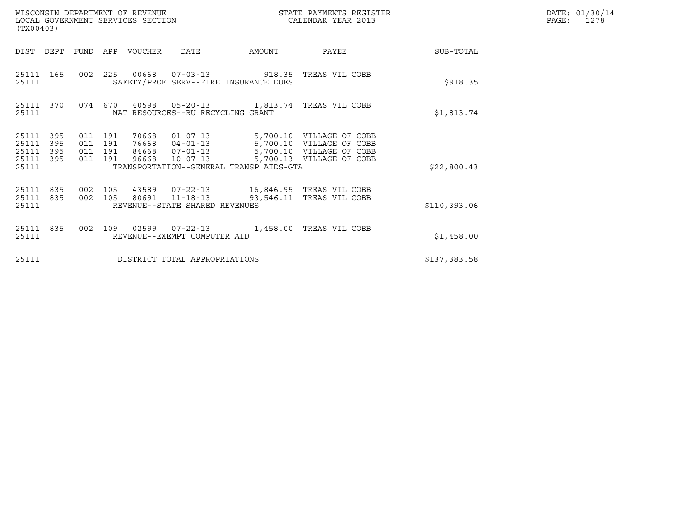| WISCONSIN DEPARTMENT OF REVENUE<br>LOCAL GOVERNMENT SERVICES SECTION<br>(TX00403) |                                          |                                                  |                                                                                                                                                       | STATE PAYMENTS REGISTER<br>CALENDAR YEAR 2013 |              | DATE: 01/30/14<br>$\mathtt{PAGE:}$<br>1278 |
|-----------------------------------------------------------------------------------|------------------------------------------|--------------------------------------------------|-------------------------------------------------------------------------------------------------------------------------------------------------------|-----------------------------------------------|--------------|--------------------------------------------|
| DIST<br>DEPT                                                                      | FUND APP VOUCHER                         | DATE                                             | AMOUNT                                                                                                                                                | PAYEE                                         | SUB-TOTAL    |                                            |
| 25111 165<br>25111                                                                |                                          |                                                  | 002  225  00668  07-03-13  918.35  TREAS VIL COBB<br>SAFETY/PROF SERV--FIRE INSURANCE DUES                                                            |                                               | \$918.35     |                                            |
| 25111 370<br>25111                                                                | 074 670                                  |                                                  | NAT RESOURCES--RU RECYCLING GRANT                                                                                                                     |                                               | \$1,813.74   |                                            |
| 25111 395<br>25111<br>395<br>395<br>25111<br>25111<br>395<br>25111                | 011 191<br>011 191<br>011 191<br>011 191 | 96668                                            | 70668  01-07-13  5,700.10  VILLAGE OF COBB<br>76668  04-01-13  5,700.10  VILLAGE OF COBB<br>$10 - 07 - 13$<br>TRANSPORTATION--GENERAL TRANSP AIDS-GTA | 5,700.13 VILLAGE OF COBB                      | \$22,800.43  |                                            |
| 25111 835<br>835<br>25111<br>25111                                                | 002 105<br>002 105                       | 80691 11-18-13<br>REVENUE--STATE SHARED REVENUES |                                                                                                                                                       | 93,546.11 TREAS VIL COBB                      | \$110,393.06 |                                            |
| 25111 835<br>25111                                                                | 002 109                                  | REVENUE--EXEMPT COMPUTER AID                     |                                                                                                                                                       | 1,458.00 TREAS VIL COBB                       | \$1,458.00   |                                            |
| 25111                                                                             |                                          |                                                  | DISTRICT TOTAL APPROPRIATIONS                                                                                                                         |                                               | \$137,383.58 |                                            |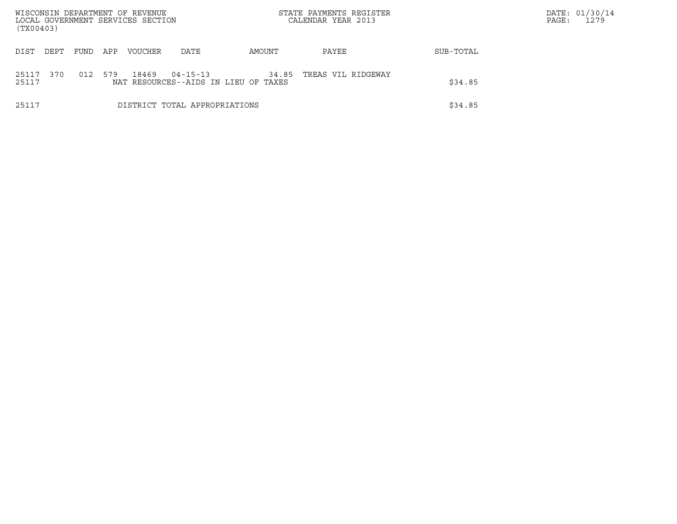| WISCONSIN DEPARTMENT OF REVENUE        |      |     | LOCAL GOVERNMENT SERVICES SECTION |                                                        | STATE PAYMENTS REGISTER |                    | DATE: 01/30/14<br>1279<br>PAGE: |  |
|----------------------------------------|------|-----|-----------------------------------|--------------------------------------------------------|-------------------------|--------------------|---------------------------------|--|
| (TX00403)                              |      |     |                                   |                                                        |                         | CALENDAR YEAR 2013 |                                 |  |
| DIST<br>DEPT                           | FUND | APP | <b>VOUCHER</b>                    | DATE                                                   | AMOUNT                  | PAYEE              | SUB-TOTAL                       |  |
| 370<br>25117<br>25117                  | 012  | 579 | 18469                             | $04 - 15 - 13$<br>NAT RESOURCES--AIDS IN LIEU OF TAXES | 34.85                   | TREAS VIL RIDGEWAY | \$34.85                         |  |
| 25117<br>DISTRICT TOTAL APPROPRIATIONS |      |     |                                   |                                                        |                         |                    | \$34.85                         |  |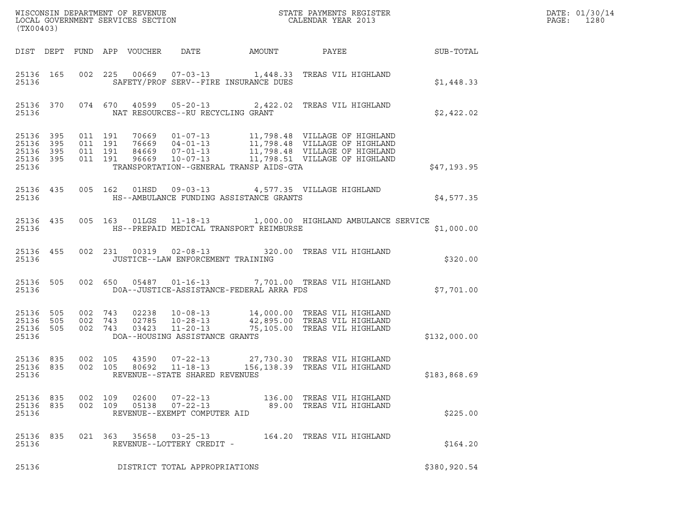| (TX00403)                                    |           |                    |                    |                                                                    |                                          |                                                                                                                                                                   |                 | DATE: 01/30/14<br>PAGE:<br>1280 |
|----------------------------------------------|-----------|--------------------|--------------------|--------------------------------------------------------------------|------------------------------------------|-------------------------------------------------------------------------------------------------------------------------------------------------------------------|-----------------|---------------------------------|
|                                              |           |                    |                    | DIST DEPT FUND APP VOUCHER DATE AMOUNT                             |                                          |                                                                                                                                                                   | PAYEE SUB-TOTAL |                                 |
| 25136                                        | 25136 165 |                    |                    |                                                                    | SAFETY/PROF SERV--FIRE INSURANCE DUES    | 002 225 00669 07-03-13 1,448.33 TREAS VIL HIGHLAND                                                                                                                | \$1,448.33      |                                 |
| 25136                                        |           |                    |                    | NAT RESOURCES--RU RECYCLING GRANT                                  |                                          | 25136 370 074 670 40599 05-20-13 2,422.02 TREAS VIL HIGHLAND                                                                                                      | \$2,422.02      |                                 |
| 25136 395<br>25136 395<br>25136 395<br>25136 | 25136 395 | 011 191<br>011 191 | 011 191<br>011 191 |                                                                    | TRANSPORTATION--GENERAL TRANSP AIDS-GTA  |                                                                                                                                                                   | \$47,193.95     |                                 |
| 25136                                        | 25136 435 |                    |                    |                                                                    | HS--AMBULANCE FUNDING ASSISTANCE GRANTS  | 005 162 01HSD 09-03-13 4,577.35 VILLAGE HIGHLAND                                                                                                                  | \$4,577.35      |                                 |
| 25136                                        | 25136 435 |                    |                    |                                                                    | HS--PREPAID MEDICAL TRANSPORT REIMBURSE  | 005 163 01LGS 11-18-13 1,000.00 HIGHLAND AMBULANCE SERVICE                                                                                                        | \$1,000.00      |                                 |
| 25136                                        | 25136 455 |                    |                    | JUSTICE--LAW ENFORCEMENT TRAINING                                  |                                          | 002 231 00319 02-08-13 320.00 TREAS VIL HIGHLAND                                                                                                                  | \$320.00        |                                 |
| 25136                                        | 25136 505 |                    |                    |                                                                    | DOA--JUSTICE-ASSISTANCE-FEDERAL ARRA FDS | 002 650 05487 01-16-13 7,701.00 TREAS VIL HIGHLAND                                                                                                                | \$7,701.00      |                                 |
| 25136 505<br>25136 505<br>25136 505<br>25136 |           |                    |                    | DOA--HOUSING ASSISTANCE GRANTS                                     |                                          | 002 743 02238 10-08-13 14,000.00 TREAS VIL HIGHLAND<br>002 743 02785 10-28-13 42,895.00 TREAS VIL HIGHLAND<br>002 743 03423 11-20-13 75,105.00 TREAS VIL HIGHLAND | \$132,000.00    |                                 |
| 25136 835<br>25136 835<br>25136              |           | 002 105<br>002 105 |                    | 80692 11-18-13<br>REVENUE--STATE SHARED REVENUES                   |                                          | 43590  07-22-13  27,730.30  TREAS VIL HIGHLAND<br>156,138.39 TREAS VIL HIGHLAND                                                                                   | \$183,868.69    |                                 |
| 25136 835<br>25136                           | 25136 835 | 002 109            | 002 109            | 02600  07-22-13<br>05138  07-22-13<br>REVENUE--EXEMPT COMPUTER AID |                                          | 136.00 TREAS VIL HIGHLAND<br>89.00 TREAS VIL HIGHLAND                                                                                                             | \$225.00        |                                 |
| 25136 835<br>25136                           |           |                    |                    | 021 363 35658 03-25-13<br>REVENUE--LOTTERY CREDIT -                |                                          | 164.20 TREAS VIL HIGHLAND                                                                                                                                         | \$164.20        |                                 |
| 25136                                        |           |                    |                    | DISTRICT TOTAL APPROPRIATIONS                                      |                                          |                                                                                                                                                                   | \$380,920.54    |                                 |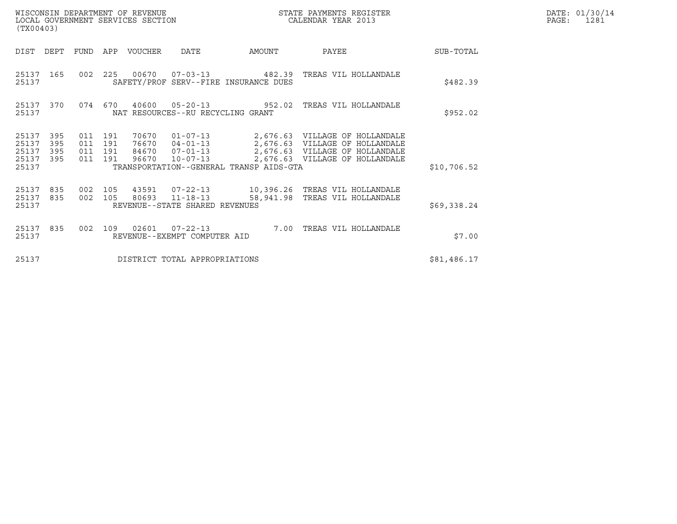| (TX00403)                                                             |                              | WISCONSIN DEPARTMENT OF REVENUE<br>LOCAL GOVERNMENT SERVICES SECTION |                                                                                               |           | STATE PAYMENTS REGISTER<br>CALENDAR YEAR 2013                                                                                                 |             | DATE: 01/30/14<br>PAGE:<br>1281 |
|-----------------------------------------------------------------------|------------------------------|----------------------------------------------------------------------|-----------------------------------------------------------------------------------------------|-----------|-----------------------------------------------------------------------------------------------------------------------------------------------|-------------|---------------------------------|
| DIST<br>DEPT                                                          | <b>FUND</b>                  | APP<br>VOUCHER                                                       | DATE                                                                                          | AMOUNT    | PAYEE                                                                                                                                         | SUB-TOTAL   |                                 |
| 25137<br>165<br>25137                                                 | 002                          | 225                                                                  | SAFETY/PROF SERV--FIRE INSURANCE DUES                                                         |           | 00670  07-03-13  482.39  TREAS VIL HOLLANDALE                                                                                                 | \$482.39    |                                 |
| 25137<br>370<br>25137                                                 | 074 670                      | 40600                                                                | $05 - 20 - 13$<br>NAT RESOURCES--RU RECYCLING GRANT                                           |           | 952.02 TREAS VIL HOLLANDALE                                                                                                                   | \$952.02    |                                 |
| 25137<br>395<br>25137<br>395<br>395<br>25137<br>25137<br>395<br>25137 | 011<br>011<br>011<br>011 191 | 191<br>70670<br>191<br>76670<br>191<br>84670<br>96670                | $01 - 07 - 13$<br>$07 - 01 - 13$<br>$10 - 07 - 13$<br>TRANSPORTATION--GENERAL TRANSP AIDS-GTA |           | 2,676.63 VILLAGE OF HOLLANDALE<br>04-01-13 2,676.63 VILLAGE OF HOLLANDALE<br>2,676.63 VILLAGE OF HOLLANDALE<br>2,676.63 VILLAGE OF HOLLANDALE | \$10,706.52 |                                 |
| 25137<br>835<br>25137<br>835<br>25137                                 | 002<br>002                   | 105<br>43591<br>105<br>80693                                         | $07 - 22 - 13$<br>$11 - 18 - 13$<br>REVENUE--STATE SHARED REVENUES                            | 58,941.98 | 10,396.26 TREAS VIL HOLLANDALE<br>TREAS VIL HOLLANDALE                                                                                        | \$69,338.24 |                                 |
| 25137<br>835<br>25137                                                 | 002                          | 109<br>02601                                                         | $07 - 22 - 13$<br>REVENUE--EXEMPT COMPUTER AID                                                | 7.00      | TREAS VIL HOLLANDALE                                                                                                                          | \$7.00      |                                 |
| 25137                                                                 |                              |                                                                      | DISTRICT TOTAL APPROPRIATIONS                                                                 |           |                                                                                                                                               | \$81,486.17 |                                 |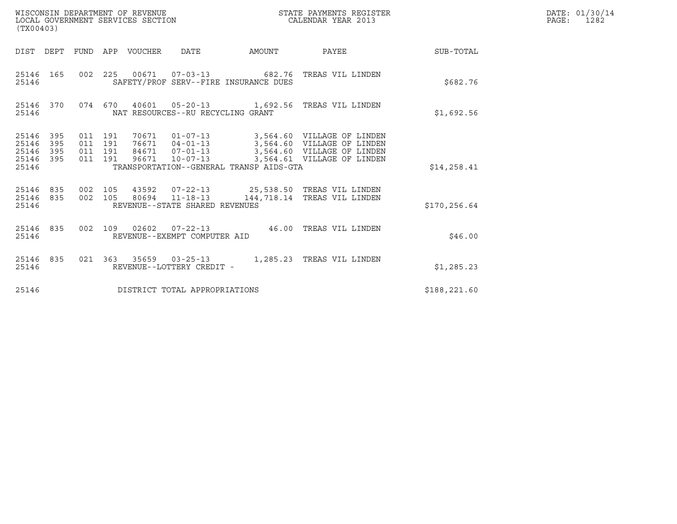| (TX00403)                                                          | WISCONSIN DEPARTMENT OF REVENUE<br>LOCAL GOVERNMENT SERVICES SECTION                                                                                                                                                                                  | STATE PAYMENTS REGISTER<br>CALENDAR YEAR 2013 |              | DATE: 01/30/14<br>PAGE:<br>1282 |
|--------------------------------------------------------------------|-------------------------------------------------------------------------------------------------------------------------------------------------------------------------------------------------------------------------------------------------------|-----------------------------------------------|--------------|---------------------------------|
|                                                                    | DIST DEPT FUND APP VOUCHER DATE<br>AMOUNT                                                                                                                                                                                                             | PAYEE SUB-TOTAL                               |              |                                 |
| 25146 165<br>25146                                                 | 002 225 00671 07-03-13 682.76 TREAS VIL LINDEN<br>SAFETY/PROF SERV--FIRE INSURANCE DUES                                                                                                                                                               |                                               | \$682.76     |                                 |
| 25146 370<br>25146                                                 | 074 670 40601 05-20-13 1,692.56 TREAS VIL LINDEN<br>NAT RESOURCES--RU RECYCLING GRANT                                                                                                                                                                 |                                               | \$1,692.56   |                                 |
| 25146 395<br>25146<br>395<br>395<br>25146<br>395<br>25146<br>25146 | 70671  01-07-13  3,564.60  VILLAGE OF LINDEN<br>011 191<br>011 191<br>76671  04-01-13  3,564.60  VILLAGE OF LINDEN<br>84671  07-01-13  3,564.60  VILLAGE OF LINDEN<br>011 191<br>011 191<br>96671 10-07-13<br>TRANSPORTATION--GENERAL TRANSP AIDS-GTA | 3,564.61 VILLAGE OF LINDEN                    | \$14, 258.41 |                                 |
| 25146 835<br>25146 835<br>25146                                    | 002 105<br>43592   07-22-13   25,538.50 TREAS VIL LINDEN<br>002 105<br>80694  11-18-13  144,718.14  TREAS VIL LINDEN<br>REVENUE--STATE SHARED REVENUES                                                                                                |                                               | \$170,256.64 |                                 |
| 25146 835<br>25146                                                 | 002 109 02602 07-22-13 46.00 TREAS VIL LINDEN<br>REVENUE--EXEMPT COMPUTER AID                                                                                                                                                                         |                                               | \$46.00      |                                 |
| 25146 835<br>25146                                                 | 021 363 35659 03-25-13 1,285.23 TREAS VIL LINDEN<br>REVENUE--LOTTERY CREDIT -                                                                                                                                                                         |                                               | \$1,285.23   |                                 |
| 25146                                                              | DISTRICT TOTAL APPROPRIATIONS                                                                                                                                                                                                                         |                                               | \$188,221.60 |                                 |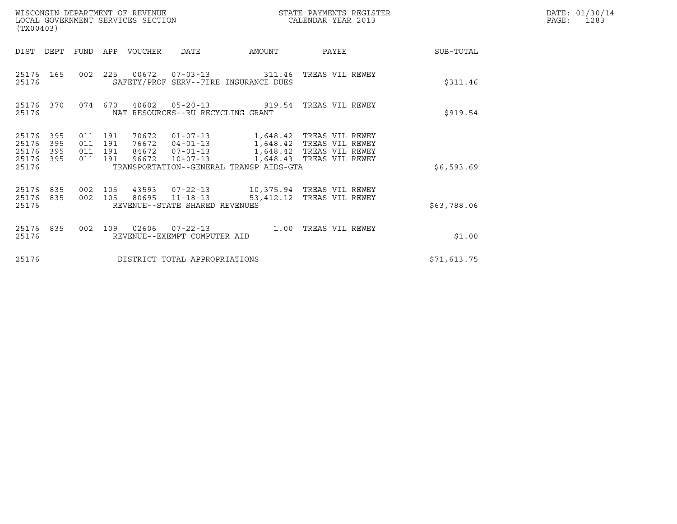| (TX00403)                                 |                          |                           |                | WISCONSIN DEPARTMENT OF REVENUE<br>LOCAL GOVERNMENT SERVICES SECTION |                                                                      |                                                                                   | STATE PAYMENTS REGISTER<br>CALENDAR YEAR 2013                                    | DATE: 01/30/14<br>PAGE:<br>1283 |  |
|-------------------------------------------|--------------------------|---------------------------|----------------|----------------------------------------------------------------------|----------------------------------------------------------------------|-----------------------------------------------------------------------------------|----------------------------------------------------------------------------------|---------------------------------|--|
| DIST                                      | DEPT                     | FUND                      | APP            | VOUCHER                                                              | <b>DATE</b>                                                          | AMOUNT                                                                            | PAYEE                                                                            | SUB-TOTAL                       |  |
| 25176<br>25176                            | 165                      |                           | 002 225        |                                                                      |                                                                      | 00672  07-03-13  311.46  TREAS VIL REWEY<br>SAFETY/PROF SERV--FIRE INSURANCE DUES |                                                                                  | \$311.46                        |  |
| 25176<br>25176                            | 370                      |                           | 074 670        | 40602                                                                | $05 - 20 - 13$<br>NAT RESOURCES--RU RECYCLING GRANT                  |                                                                                   | 919.54 TREAS VIL REWEY                                                           | \$919.54                        |  |
| 25176<br>25176<br>25176<br>25176<br>25176 | 395<br>395<br>395<br>395 | 011 191<br>011<br>011 191 | 191<br>011 191 | 70672<br>76672<br>84672<br>96672                                     | $01 - 07 - 13$<br>$04 - 01 - 13$<br>$07 - 01 - 13$<br>$10 - 07 - 13$ | 1,648.42 TREAS VIL REWEY<br>TRANSPORTATION--GENERAL TRANSP AIDS-GTA               | 1,648.42 TREAS VIL REWEY<br>1,648.42 TREAS VIL REWEY<br>1,648.43 TREAS VIL REWEY | \$6,593.69                      |  |
| 25176<br>25176<br>25176                   | 835<br>835               | 002 105                   | 002 105        |                                                                      | 43593 07-22-13<br>80695 11-18-13<br>REVENUE--STATE SHARED REVENUES   | 10,375.94 TREAS VIL REWEY                                                         | 53,412.12 TREAS VIL REWEY                                                        | \$63,788.06                     |  |
| 25176<br>25176                            | 835                      | 002                       | 109            | 02606                                                                | $07 - 22 - 13$<br>REVENUE--EXEMPT COMPUTER AID                       | 1.00                                                                              | TREAS VIL REWEY                                                                  | \$1.00                          |  |
| 25176                                     |                          |                           |                |                                                                      | DISTRICT TOTAL APPROPRIATIONS                                        |                                                                                   |                                                                                  | \$71,613.75                     |  |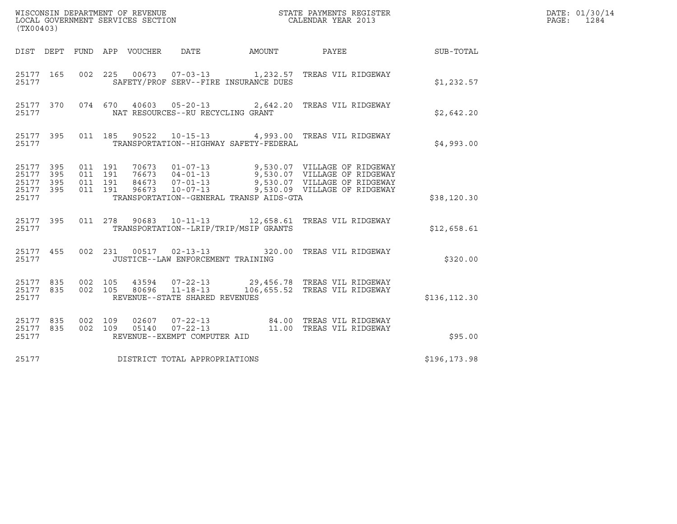| (TX00403)                                         |            |                                          |         |                                 |                                                  |                                         |                                                                                                                                                                                                      |               | DATE: 01/30/14<br>PAGE:<br>1284 |
|---------------------------------------------------|------------|------------------------------------------|---------|---------------------------------|--------------------------------------------------|-----------------------------------------|------------------------------------------------------------------------------------------------------------------------------------------------------------------------------------------------------|---------------|---------------------------------|
|                                                   |            |                                          |         | DIST DEPT FUND APP VOUCHER DATE |                                                  | AMOUNT                                  | PAYEE                                                                                                                                                                                                | SUB-TOTAL     |                                 |
| 25177 165<br>25177                                |            |                                          |         |                                 |                                                  | SAFETY/PROF SERV--FIRE INSURANCE DUES   | 002 225 00673 07-03-13 1,232.57 TREAS VIL RIDGEWAY                                                                                                                                                   | \$1,232.57    |                                 |
| 25177                                             |            |                                          |         |                                 | NAT RESOURCES--RU RECYCLING GRANT                |                                         | 25177 370 074 670 40603 05-20-13 2,642.20 TREAS VIL RIDGEWAY                                                                                                                                         | \$2,642.20    |                                 |
| 25177 395<br>25177                                |            |                                          |         |                                 |                                                  | TRANSPORTATION--HIGHWAY SAFETY-FEDERAL  | 011 185 90522 10-15-13 4,993.00 TREAS VIL RIDGEWAY                                                                                                                                                   | \$4,993.00    |                                 |
| 25177 395<br>25177<br>25177<br>25177 395<br>25177 | 395<br>395 | 011 191<br>011 191<br>011 191<br>011 191 |         |                                 |                                                  | TRANSPORTATION--GENERAL TRANSP AIDS-GTA | 70673  01-07-13  9,530.07  VILLAGE OF RIDGEWAY<br>76673  04-01-13  9,530.07  VILLAGE OF RIDGEWAY<br>84673  07-01-13  9,530.07  VILLAGE OF RIDGEWAY<br>96673  10-07-13  9,530.09  VILLAGE OF RIDGEWAY | \$38,120.30   |                                 |
| 25177 395<br>25177                                |            |                                          |         | 011 278 90683                   |                                                  | TRANSPORTATION--LRIP/TRIP/MSIP GRANTS   | 10-11-13 12,658.61 TREAS VIL RIDGEWAY                                                                                                                                                                | \$12,658.61   |                                 |
| 25177 455<br>25177                                |            |                                          |         |                                 | JUSTICE--LAW ENFORCEMENT TRAINING                |                                         | 002 231 00517 02-13-13 320.00 TREAS VIL RIDGEWAY                                                                                                                                                     | \$320.00      |                                 |
| 25177 835<br>25177 835<br>25177                   |            | 002 105<br>002 105                       |         |                                 | 80696 11-18-13<br>REVENUE--STATE SHARED REVENUES |                                         | 43594  07-22-13  29,456.78  TREAS VIL RIDGEWAY<br>106,655.52 TREAS VIL RIDGEWAY                                                                                                                      | \$136, 112.30 |                                 |
| 25177 835<br>25177 835<br>25177                   |            | 002 109                                  | 002 109 |                                 | REVENUE--EXEMPT COMPUTER AID                     |                                         |                                                                                                                                                                                                      | \$95.00       |                                 |
| 25177                                             |            |                                          |         |                                 | DISTRICT TOTAL APPROPRIATIONS                    |                                         |                                                                                                                                                                                                      | \$196,173.98  |                                 |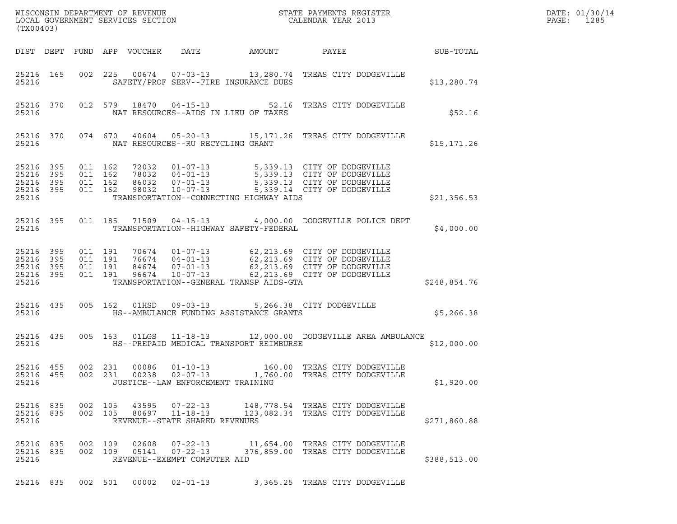| (TX00403)                                     |                   |                               |                    |                            |                                                                    | DATE: 01/30/14<br>$\mathtt{PAGE:}$<br>1285 |                                                                                                                                                                                                               |                  |  |
|-----------------------------------------------|-------------------|-------------------------------|--------------------|----------------------------|--------------------------------------------------------------------|--------------------------------------------|---------------------------------------------------------------------------------------------------------------------------------------------------------------------------------------------------------------|------------------|--|
|                                               |                   |                               |                    | DIST DEPT FUND APP VOUCHER | DATE                                                               | AMOUNT                                     | PAYEE                                                                                                                                                                                                         | <b>SUB-TOTAL</b> |  |
| 25216 165<br>25216                            |                   |                               |                    |                            |                                                                    | SAFETY/PROF SERV--FIRE INSURANCE DUES      | 002  225  00674  07-03-13  13,280.74  TREAS CITY DODGEVILLE                                                                                                                                                   | \$13,280.74      |  |
| 25216                                         | 25216 370         |                               |                    |                            | NAT RESOURCES--AIDS IN LIEU OF TAXES                               |                                            | 012 579 18470 04-15-13 52.16 TREAS CITY DODGEVILLE                                                                                                                                                            | \$52.16          |  |
| 25216                                         | 25216 370         |                               |                    |                            | NAT RESOURCES--RU RECYCLING GRANT                                  |                                            | 074 670 40604 05-20-13 15,171.26 TREAS CITY DODGEVILLE                                                                                                                                                        | \$15, 171.26     |  |
| 25216<br>25216<br>25216<br>25216 395<br>25216 | 395<br>395<br>395 | 011 162<br>011 162<br>011 162 | 011 162            | 98032                      | 86032 07-01-13<br>10-07-13                                         | TRANSPORTATION--CONNECTING HIGHWAY AIDS    | 72032  01-07-13  5,339.13  CITY OF DODGEVILLE<br>78032  04-01-13  5,339.13  CITY OF DODGEVILLE<br>86032  07-01-13  5,339.13  CITY OF DODGEVILLE<br>5,339.13 CITY OF DODGEVILLE<br>5,339.14 CITY OF DODGEVILLE | \$21,356.53      |  |
| 25216 395<br>25216                            |                   |                               | 011 185            | 71509                      |                                                                    | TRANSPORTATION--HIGHWAY SAFETY-FEDERAL     | 04-15-13 4,000.00 DODGEVILLE POLICE DEPT                                                                                                                                                                      | \$4,000.00       |  |
| 25216<br>25216<br>25216<br>25216 395<br>25216 | 395<br>395<br>395 | 011 191<br>011 191<br>011 191 | 011 191            | 96674                      | $10 - 07 - 13$                                                     | TRANSPORTATION--GENERAL TRANSP AIDS-GTA    | 70674  01-07-13  62,213.69  CITY OF DODGEVILLE<br>76674  04-01-13  62,213.69  CITY OF DODGEVILLE<br>84674  07-01-13  62,213.69  CITY OF DODGEVILLE<br>62,213.69 CITY OF DODGEVILLE                            | \$248,854.76     |  |
| 25216 435<br>25216                            |                   |                               | 005 162            | 01HSD                      |                                                                    | HS--AMBULANCE FUNDING ASSISTANCE GRANTS    | 09-03-13 5,266.38 CITY DODGEVILLE                                                                                                                                                                             | \$5,266.38       |  |
| 25216                                         | 25216 435         |                               | 005 163            |                            |                                                                    | HS--PREPAID MEDICAL TRANSPORT REIMBURSE    | 01LGS 11-18-13 12,000.00 DODGEVILLE AREA AMBULANCE                                                                                                                                                            | \$12,000.00      |  |
| 25216 455<br>25216 455<br>25216               |                   |                               | 002 231<br>002 231 | 00086                      | $01 - 10 - 13$<br>JUSTICE--LAW ENFORCEMENT TRAINING                |                                            | 160.00 TREAS CITY DODGEVILLE                                                                                                                                                                                  | \$1,920.00       |  |
| 25216 835<br>25216 835<br>25216               |                   | 002 105<br>002 105            |                    |                            | 43595 07-22-13<br>80697 11-18-13<br>REVENUE--STATE SHARED REVENUES |                                            | 148,778.54 TREAS CITY DODGEVILLE<br>123,082.34 TREAS CITY DODGEVILLE                                                                                                                                          | \$271,860.88     |  |
| 25216 835<br>25216 835<br>25216               |                   | 002 109                       | 002 109            | 02608<br>05141             | 07-22-13<br>$07 - 22 - 13$<br>REVENUE--EXEMPT COMPUTER AID         |                                            | 11,654.00 TREAS CITY DODGEVILLE<br>376,859.00 TREAS CITY DODGEVILLE                                                                                                                                           | \$388,513.00     |  |
| 25216 835                                     |                   |                               | 002 501            | 00002                      | $02 - 01 - 13$                                                     |                                            | 3,365.25 TREAS CITY DODGEVILLE                                                                                                                                                                                |                  |  |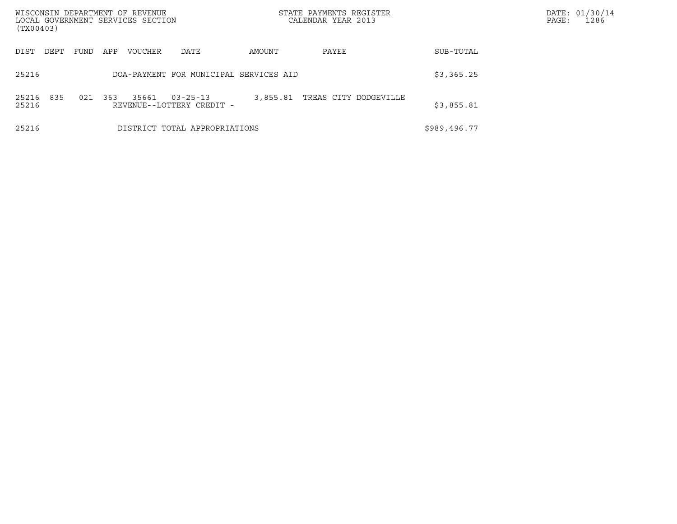| WISCONSIN DEPARTMENT OF REVENUE<br>(TX00403) | LOCAL GOVERNMENT SERVICES SECTION                           | STATE PAYMENTS REGISTER<br>CALENDAR YEAR 2013 |              | DATE: 01/30/14<br>PAGE:<br>1286 |
|----------------------------------------------|-------------------------------------------------------------|-----------------------------------------------|--------------|---------------------------------|
| FUND<br>DIST<br>DEPT                         | APP<br>VOUCHER<br>DATE                                      | AMOUNT<br>PAYEE                               | SUB-TOTAL    |                                 |
| 25216                                        | DOA-PAYMENT FOR MUNICIPAL SERVICES AID                      |                                               | \$3,365.25   |                                 |
| 835<br>021<br>25216<br>25216                 | 363<br>35661<br>$03 - 25 - 13$<br>REVENUE--LOTTERY CREDIT - | TREAS CITY DODGEVILLE<br>3,855.81             | \$3,855.81   |                                 |
| 25216                                        | DISTRICT TOTAL APPROPRIATIONS                               |                                               | \$989,496.77 |                                 |